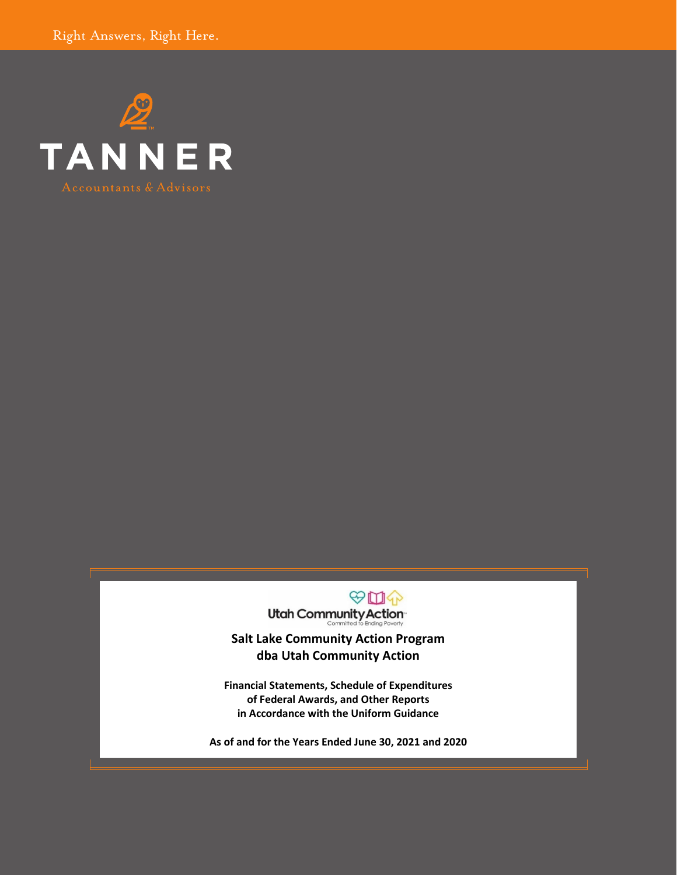Right Answers, Right Here.





 $\otimes \blacksquare \lozenge$ **Utah Community Action** 

**Salt Lake Community Action Program dba Utah Community Action**

**Financial Statements, Schedule of Expenditures of Federal Awards, and Other Reports in Accordance with the Uniform Guidance**

**As of and for the Years Ended June 30, 2021 and 2020**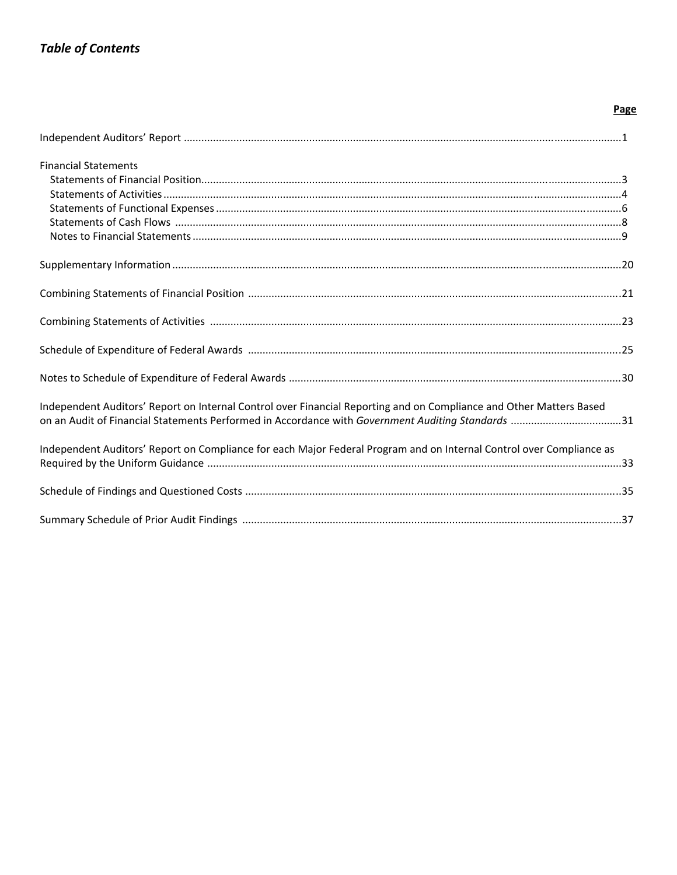# **Table of Contents**

| <b>Financial Statements</b>                                                                                                                                                                                              |
|--------------------------------------------------------------------------------------------------------------------------------------------------------------------------------------------------------------------------|
|                                                                                                                                                                                                                          |
|                                                                                                                                                                                                                          |
|                                                                                                                                                                                                                          |
|                                                                                                                                                                                                                          |
|                                                                                                                                                                                                                          |
|                                                                                                                                                                                                                          |
|                                                                                                                                                                                                                          |
|                                                                                                                                                                                                                          |
|                                                                                                                                                                                                                          |
|                                                                                                                                                                                                                          |
| Independent Auditors' Report on Internal Control over Financial Reporting and on Compliance and Other Matters Based<br>on an Audit of Financial Statements Performed in Accordance with Government Auditing Standards 31 |
| Independent Auditors' Report on Compliance for each Major Federal Program and on Internal Control over Compliance as                                                                                                     |
|                                                                                                                                                                                                                          |
|                                                                                                                                                                                                                          |

## Page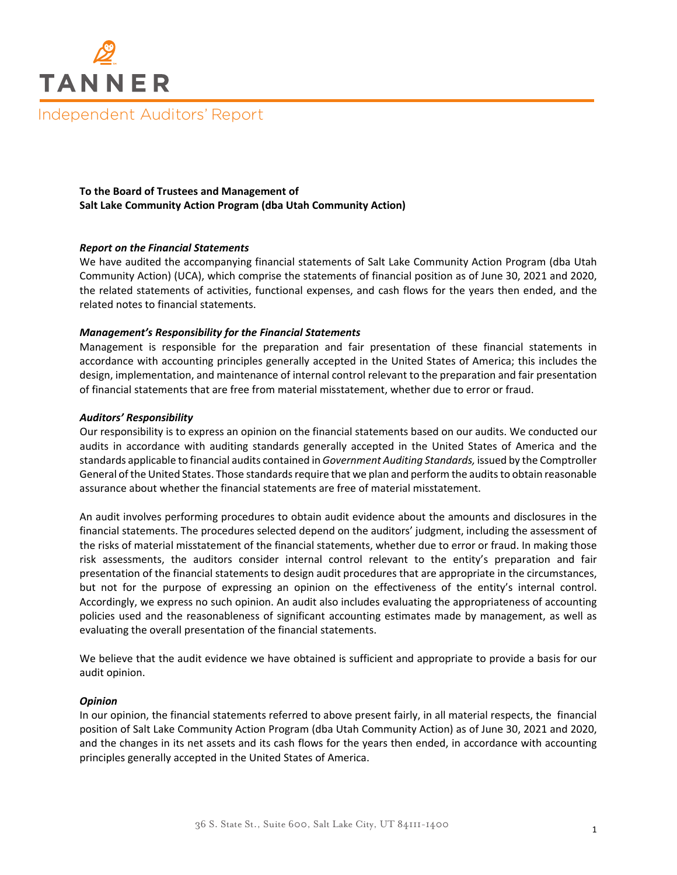

Independent Auditors' Report

## **To the Board of Trustees and Management of Salt Lake Community Action Program (dba Utah Community Action)**

## *Report on the Financial Statements*

We have audited the accompanying financial statements of Salt Lake Community Action Program (dba Utah Community Action) (UCA), which comprise the statements of financial position as of June 30, 2021 and 2020, the related statements of activities, functional expenses, and cash flows for the years then ended, and the related notes to financial statements.

#### *Management's Responsibility for the Financial Statements*

Management is responsible for the preparation and fair presentation of these financial statements in accordance with accounting principles generally accepted in the United States of America; this includes the design, implementation, and maintenance of internal control relevant to the preparation and fair presentation of financial statements that are free from material misstatement, whether due to error or fraud.

#### *Auditors' Responsibility*

Our responsibility is to express an opinion on the financial statements based on our audits. We conducted our audits in accordance with auditing standards generally accepted in the United States of America and the standards applicable to financial audits contained in *Government Auditing Standards,* issued by the Comptroller General of the United States. Those standards require that we plan and perform the audits to obtain reasonable assurance about whether the financial statements are free of material misstatement.

An audit involves performing procedures to obtain audit evidence about the amounts and disclosures in the financial statements. The procedures selected depend on the auditors' judgment, including the assessment of the risks of material misstatement of the financial statements, whether due to error or fraud. In making those risk assessments, the auditors consider internal control relevant to the entity's preparation and fair presentation of the financial statements to design audit procedures that are appropriate in the circumstances, but not for the purpose of expressing an opinion on the effectiveness of the entity's internal control. Accordingly, we express no such opinion. An audit also includes evaluating the appropriateness of accounting policies used and the reasonableness of significant accounting estimates made by management, as well as evaluating the overall presentation of the financial statements.

We believe that the audit evidence we have obtained is sufficient and appropriate to provide a basis for our audit opinion.

#### *Opinion*

In our opinion, the financial statements referred to above present fairly, in all material respects, the financial position of Salt Lake Community Action Program (dba Utah Community Action) as of June 30, 2021 and 2020, and the changes in its net assets and its cash flows for the years then ended, in accordance with accounting principles generally accepted in the United States of America.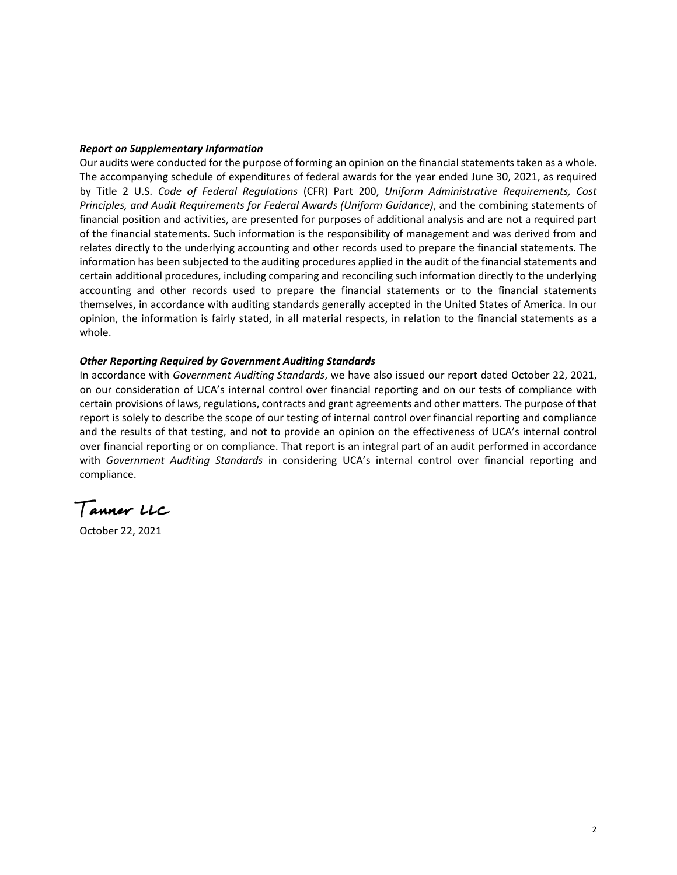#### *Report on Supplementary Information*

Our audits were conducted for the purpose of forming an opinion on the financial statements taken as a whole. The accompanying schedule of expenditures of federal awards for the year ended June 30, 2021, as required by Title 2 U.S. *Code of Federal Regulations* (CFR) Part 200, *Uniform Administrative Requirements, Cost Principles, and Audit Requirements for Federal Awards (Uniform Guidance)*, and the combining statements of financial position and activities, are presented for purposes of additional analysis and are not a required part of the financial statements. Such information is the responsibility of management and was derived from and relates directly to the underlying accounting and other records used to prepare the financial statements. The information has been subjected to the auditing procedures applied in the audit of the financial statements and certain additional procedures, including comparing and reconciling such information directly to the underlying accounting and other records used to prepare the financial statements or to the financial statements themselves, in accordance with auditing standards generally accepted in the United States of America. In our opinion, the information is fairly stated, in all material respects, in relation to the financial statements as a whole.

## *Other Reporting Required by Government Auditing Standards*

In accordance with *Government Auditing Standards*, we have also issued our report dated October 22, 2021, on our consideration of UCA's internal control over financial reporting and on our tests of compliance with certain provisions of laws, regulations, contracts and grant agreements and other matters. The purpose of that report is solely to describe the scope of our testing of internal control over financial reporting and compliance and the results of that testing, and not to provide an opinion on the effectiveness of UCA's internal control over financial reporting or on compliance. That report is an integral part of an audit performed in accordance with *Government Auditing Standards* in considering UCA's internal control over financial reporting and compliance.

Tanner LLC

October 22, 2021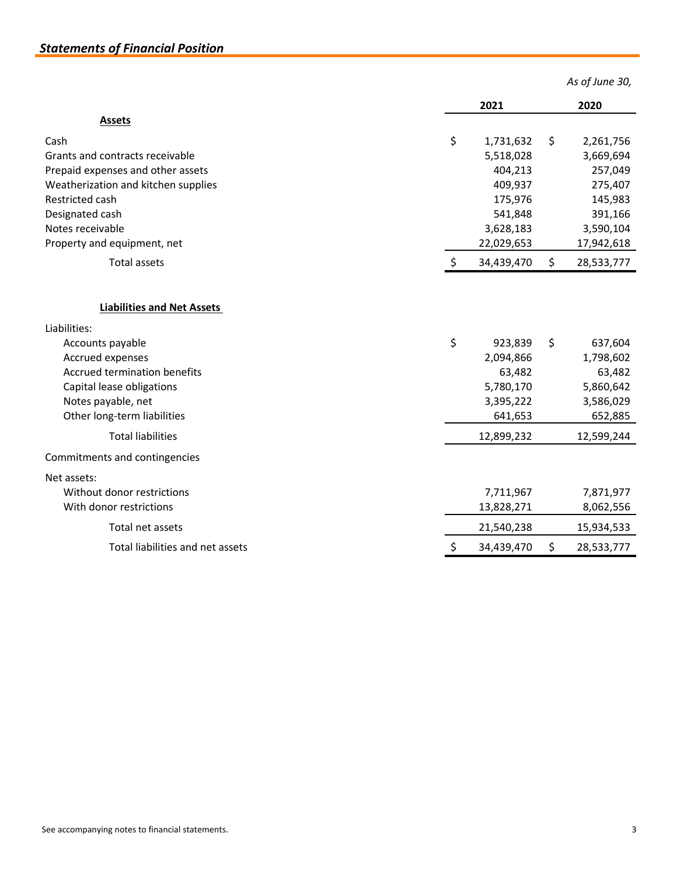# *Statements of Financial Position*

*As of June 30,*

|                                     | 2021             | 2020             |
|-------------------------------------|------------------|------------------|
| <b>Assets</b>                       |                  |                  |
| Cash                                | \$<br>1,731,632  | \$<br>2,261,756  |
| Grants and contracts receivable     | 5,518,028        | 3,669,694        |
| Prepaid expenses and other assets   | 404,213          | 257,049          |
| Weatherization and kitchen supplies | 409,937          | 275,407          |
| Restricted cash                     | 175,976          | 145,983          |
| Designated cash                     | 541,848          | 391,166          |
| Notes receivable                    | 3,628,183        | 3,590,104        |
| Property and equipment, net         | 22,029,653       | 17,942,618       |
| <b>Total assets</b>                 | \$<br>34,439,470 | \$<br>28,533,777 |
|                                     |                  |                  |
| <b>Liabilities and Net Assets</b>   |                  |                  |
| Liabilities:                        |                  |                  |
| Accounts payable                    | \$<br>923,839    | \$<br>637,604    |
| Accrued expenses                    | 2,094,866        | 1,798,602        |
| Accrued termination benefits        | 63,482           | 63,482           |
| Capital lease obligations           | 5,780,170        | 5,860,642        |
| Notes payable, net                  | 3,395,222        | 3,586,029        |
| Other long-term liabilities         | 641,653          | 652,885          |
| <b>Total liabilities</b>            | 12,899,232       | 12,599,244       |
| Commitments and contingencies       |                  |                  |
| Net assets:                         |                  |                  |
| Without donor restrictions          | 7,711,967        | 7,871,977        |
| With donor restrictions             | 13,828,271       | 8,062,556        |
| Total net assets                    | 21,540,238       | 15,934,533       |
| Total liabilities and net assets    | \$<br>34,439,470 | \$<br>28,533,777 |
|                                     |                  |                  |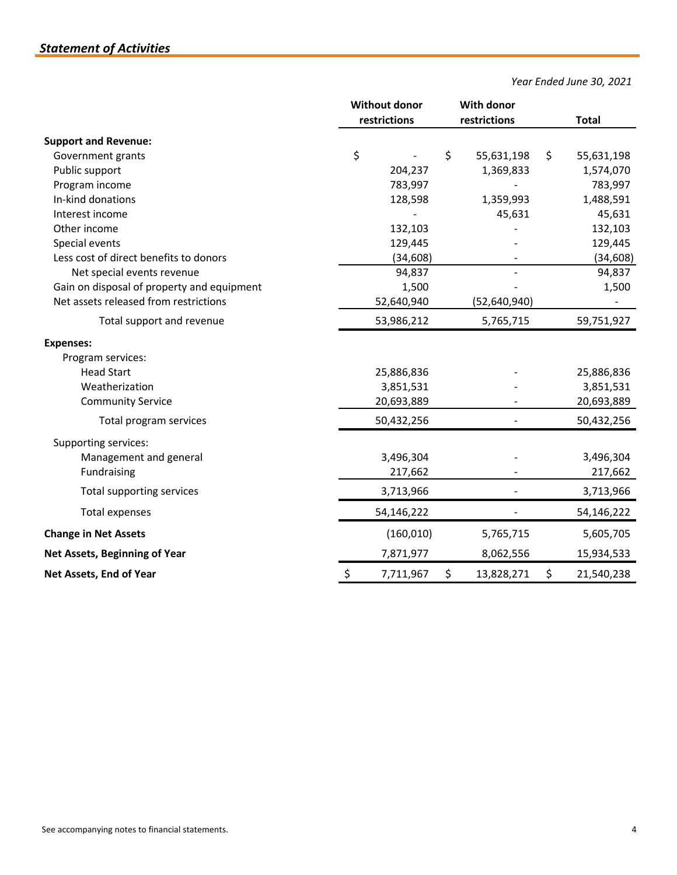|                                            | <b>Without donor</b><br>restrictions | With donor<br>restrictions | <b>Total</b>     |
|--------------------------------------------|--------------------------------------|----------------------------|------------------|
| <b>Support and Revenue:</b>                |                                      |                            |                  |
| Government grants                          | \$                                   | \$<br>55,631,198           | \$<br>55,631,198 |
| Public support                             | 204,237                              | 1,369,833                  | 1,574,070        |
| Program income                             | 783,997                              |                            | 783,997          |
| In-kind donations                          | 128,598                              | 1,359,993                  | 1,488,591        |
| Interest income                            |                                      | 45,631                     | 45,631           |
| Other income                               | 132,103                              |                            | 132,103          |
| Special events                             | 129,445                              |                            | 129,445          |
| Less cost of direct benefits to donors     | (34, 608)                            |                            | (34, 608)        |
| Net special events revenue                 | 94,837                               |                            | 94,837           |
| Gain on disposal of property and equipment | 1,500                                |                            | 1,500            |
| Net assets released from restrictions      | 52,640,940                           | (52, 640, 940)             |                  |
| Total support and revenue                  | 53,986,212                           | 5,765,715                  | 59,751,927       |
| <b>Expenses:</b>                           |                                      |                            |                  |
| Program services:                          |                                      |                            |                  |
| <b>Head Start</b>                          | 25,886,836                           |                            | 25,886,836       |
| Weatherization                             | 3,851,531                            |                            | 3,851,531        |
| <b>Community Service</b>                   | 20,693,889                           |                            | 20,693,889       |
| Total program services                     | 50,432,256                           |                            | 50,432,256       |
| Supporting services:                       |                                      |                            |                  |
| Management and general                     | 3,496,304                            |                            | 3,496,304        |
| Fundraising                                | 217,662                              |                            | 217,662          |
| Total supporting services                  | 3,713,966                            |                            | 3,713,966        |
| Total expenses                             | 54,146,222                           |                            | 54,146,222       |
| <b>Change in Net Assets</b>                | (160, 010)                           | 5,765,715                  | 5,605,705        |
| <b>Net Assets, Beginning of Year</b>       | 7,871,977                            | 8,062,556                  | 15,934,533       |
| Net Assets, End of Year                    | \$<br>7,711,967                      | \$<br>13,828,271           | \$<br>21,540,238 |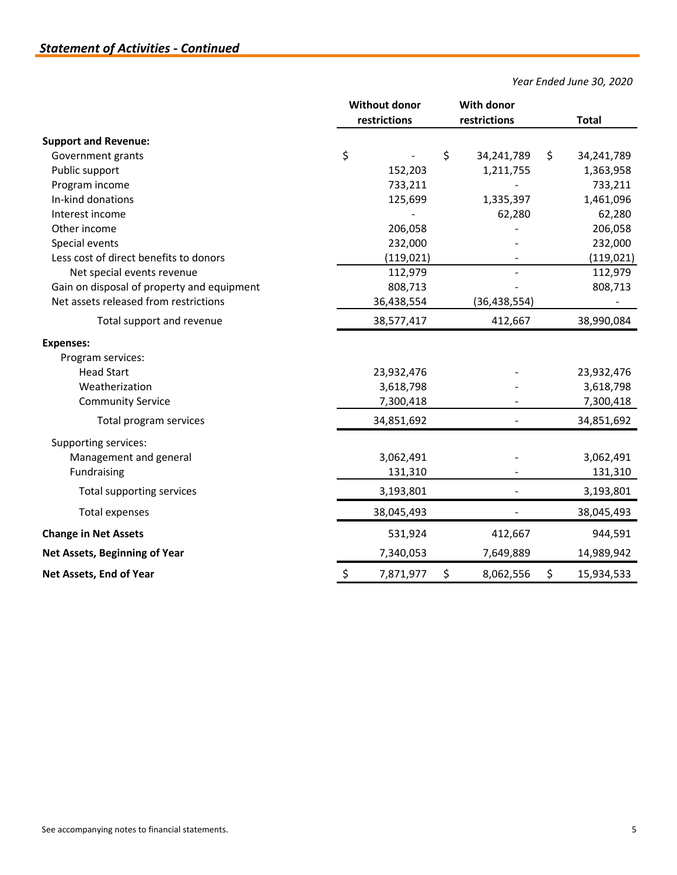|                                            | <b>Without donor</b><br>restrictions | With donor<br>restrictions | <b>Total</b>     |
|--------------------------------------------|--------------------------------------|----------------------------|------------------|
| <b>Support and Revenue:</b>                |                                      |                            |                  |
| Government grants                          | \$                                   | \$<br>34,241,789           | \$<br>34,241,789 |
| Public support                             | 152,203                              | 1,211,755                  | 1,363,958        |
| Program income                             | 733,211                              |                            | 733,211          |
| In-kind donations                          | 125,699                              | 1,335,397                  | 1,461,096        |
| Interest income                            |                                      | 62,280                     | 62,280           |
| Other income                               | 206,058                              |                            | 206,058          |
| Special events                             | 232,000                              |                            | 232,000          |
| Less cost of direct benefits to donors     | (119, 021)                           |                            | (119, 021)       |
| Net special events revenue                 | 112,979                              |                            | 112,979          |
| Gain on disposal of property and equipment | 808,713                              |                            | 808,713          |
| Net assets released from restrictions      | 36,438,554                           | (36, 438, 554)             |                  |
| Total support and revenue                  | 38,577,417                           | 412,667                    | 38,990,084       |
| <b>Expenses:</b>                           |                                      |                            |                  |
| Program services:                          |                                      |                            |                  |
| <b>Head Start</b>                          | 23,932,476                           |                            | 23,932,476       |
| Weatherization                             | 3,618,798                            |                            | 3,618,798        |
| <b>Community Service</b>                   | 7,300,418                            |                            | 7,300,418        |
| Total program services                     | 34,851,692                           |                            | 34,851,692       |
| Supporting services:                       |                                      |                            |                  |
| Management and general                     | 3,062,491                            |                            | 3,062,491        |
| Fundraising                                | 131,310                              |                            | 131,310          |
| Total supporting services                  | 3,193,801                            |                            | 3,193,801        |
| Total expenses                             | 38,045,493                           |                            | 38,045,493       |
| <b>Change in Net Assets</b>                | 531,924                              | 412,667                    | 944,591          |
| Net Assets, Beginning of Year              | 7,340,053                            | 7,649,889                  | 14,989,942       |
| Net Assets, End of Year                    | \$<br>7,871,977                      | \$<br>8,062,556            | \$<br>15,934,533 |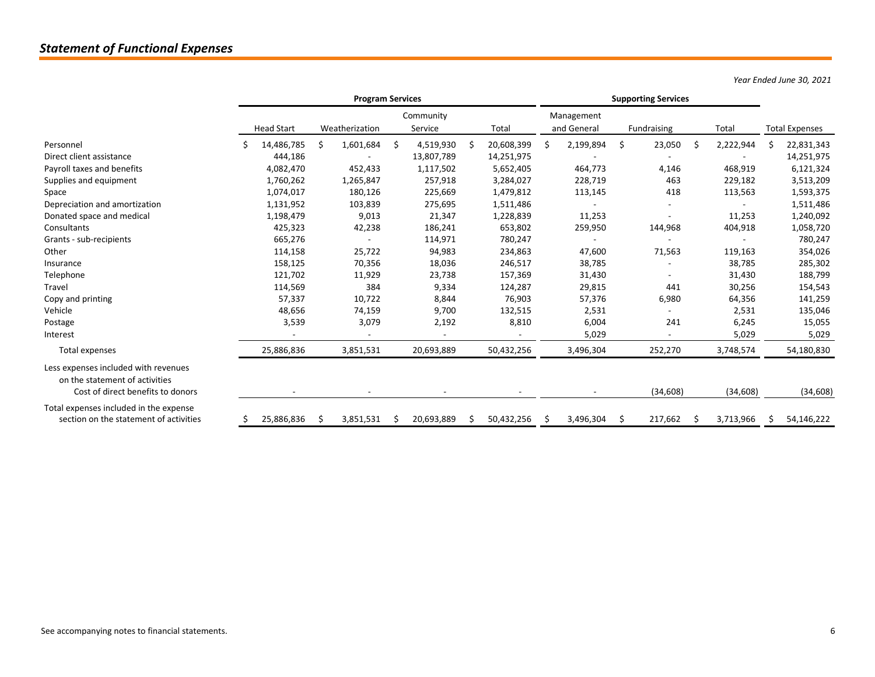|                                                                                                             | <b>Program Services</b> |                   |   |                          |    |                      |     | <b>Supporting Services</b> |    |                           |    |                          |    |           |                       |
|-------------------------------------------------------------------------------------------------------------|-------------------------|-------------------|---|--------------------------|----|----------------------|-----|----------------------------|----|---------------------------|----|--------------------------|----|-----------|-----------------------|
|                                                                                                             |                         | <b>Head Start</b> |   | Weatherization           |    | Community<br>Service |     | Total                      |    | Management<br>and General |    | Fundraising              |    | Total     | <b>Total Expenses</b> |
| Personnel                                                                                                   |                         | 14,486,785        | Ś | 1,601,684                | Ŝ. | 4,519,930            | - Ś | 20,608,399                 |    | 2,199,894                 | Ŝ. | 23,050                   | Ŝ. | 2,222,944 | 22,831,343            |
| Direct client assistance                                                                                    |                         | 444,186           |   |                          |    | 13,807,789           |     | 14,251,975                 |    |                           |    |                          |    |           | 14,251,975            |
| Payroll taxes and benefits                                                                                  |                         | 4,082,470         |   | 452,433                  |    | 1,117,502            |     | 5,652,405                  |    | 464,773                   |    | 4,146                    |    | 468,919   | 6,121,324             |
| Supplies and equipment                                                                                      |                         | 1,760,262         |   | 1,265,847                |    | 257,918              |     | 3,284,027                  |    | 228,719                   |    | 463                      |    | 229,182   | 3,513,209             |
| Space                                                                                                       |                         | 1,074,017         |   | 180,126                  |    | 225,669              |     | 1,479,812                  |    | 113,145                   |    | 418                      |    | 113,563   | 1,593,375             |
| Depreciation and amortization                                                                               |                         | 1,131,952         |   | 103,839                  |    | 275,695              |     | 1,511,486                  |    |                           |    |                          |    |           | 1,511,486             |
| Donated space and medical                                                                                   |                         | 1,198,479         |   | 9,013                    |    | 21,347               |     | 1,228,839                  |    | 11,253                    |    |                          |    | 11,253    | 1,240,092             |
| Consultants                                                                                                 |                         | 425,323           |   | 42,238                   |    | 186,241              |     | 653,802                    |    | 259,950                   |    | 144,968                  |    | 404,918   | 1,058,720             |
| Grants - sub-recipients                                                                                     |                         | 665,276           |   | $\overline{\phantom{a}}$ |    | 114,971              |     | 780,247                    |    |                           |    |                          |    |           | 780,247               |
| Other                                                                                                       |                         | 114,158           |   | 25,722                   |    | 94,983               |     | 234,863                    |    | 47,600                    |    | 71,563                   |    | 119,163   | 354,026               |
| Insurance                                                                                                   |                         | 158,125           |   | 70,356                   |    | 18,036               |     | 246,517                    |    | 38,785                    |    |                          |    | 38,785    | 285,302               |
| Telephone                                                                                                   |                         | 121,702           |   | 11,929                   |    | 23,738               |     | 157,369                    |    | 31,430                    |    |                          |    | 31,430    | 188,799               |
| Travel                                                                                                      |                         | 114,569           |   | 384                      |    | 9,334                |     | 124,287                    |    | 29,815                    |    | 441                      |    | 30,256    | 154,543               |
| Copy and printing                                                                                           |                         | 57,337            |   | 10,722                   |    | 8,844                |     | 76,903                     |    | 57,376                    |    | 6,980                    |    | 64,356    | 141,259               |
| Vehicle                                                                                                     |                         | 48,656            |   | 74,159                   |    | 9,700                |     | 132,515                    |    | 2,531                     |    |                          |    | 2,531     | 135,046               |
| Postage                                                                                                     |                         | 3,539             |   | 3,079                    |    | 2,192                |     | 8,810                      |    | 6,004                     |    | 241                      |    | 6,245     | 15,055                |
| Interest                                                                                                    |                         |                   |   |                          |    |                      |     |                            |    | 5,029                     |    | $\overline{\phantom{a}}$ |    | 5,029     | 5,029                 |
| Total expenses                                                                                              |                         | 25,886,836        |   | 3,851,531                |    | 20,693,889           |     | 50,432,256                 |    | 3,496,304                 |    | 252,270                  |    | 3,748,574 | 54,180,830            |
| Less expenses included with revenues<br>on the statement of activities<br>Cost of direct benefits to donors |                         |                   |   |                          |    |                      |     |                            |    |                           |    | (34, 608)                |    | (34, 608) | (34, 608)             |
| Total expenses included in the expense<br>section on the statement of activities                            |                         | 25,886,836        | Ś | 3,851,531                | Ŝ. | 20,693,889           | Ŝ   | 50,432,256                 | -S | 3,496,304                 | Ŝ. | 217,662                  | Ŝ. | 3,713,966 | 54,146,222            |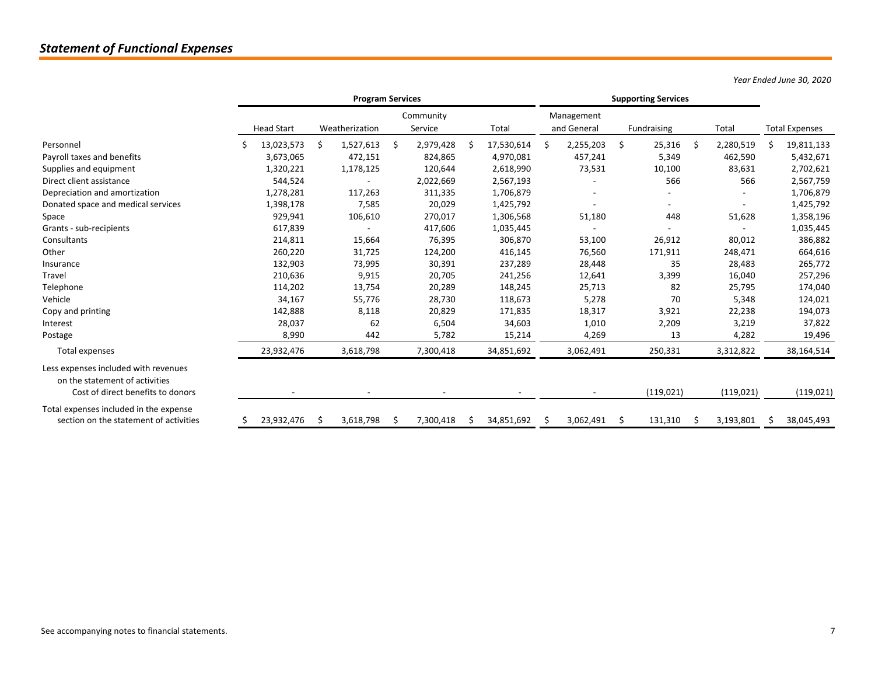|                                                                                                             | <b>Program Services</b> |                   |    |                |    |                      |     | <b>Supporting Services</b> |    |                           |    |                          |     |            |   |                       |
|-------------------------------------------------------------------------------------------------------------|-------------------------|-------------------|----|----------------|----|----------------------|-----|----------------------------|----|---------------------------|----|--------------------------|-----|------------|---|-----------------------|
|                                                                                                             |                         | <b>Head Start</b> |    | Weatherization |    | Community<br>Service |     | Total                      |    | Management<br>and General |    | Fundraising              |     | Total      |   | <b>Total Expenses</b> |
|                                                                                                             |                         |                   |    |                |    |                      |     |                            |    |                           |    |                          |     |            |   |                       |
| Personnel                                                                                                   |                         | 13,023,573        | \$ | 1,527,613      | \$ | 2,979,428            | -\$ | 17,530,614                 | \$ | 2,255,203                 | \$ | 25,316                   | -\$ | 2,280,519  | Ŝ | 19,811,133            |
| Payroll taxes and benefits                                                                                  |                         | 3,673,065         |    | 472,151        |    | 824,865              |     | 4,970,081                  |    | 457,241                   |    | 5,349                    |     | 462,590    |   | 5,432,671             |
| Supplies and equipment                                                                                      |                         | 1,320,221         |    | 1,178,125      |    | 120,644              |     | 2,618,990                  |    | 73,531                    |    | 10,100                   |     | 83,631     |   | 2,702,621             |
| Direct client assistance                                                                                    |                         | 544,524           |    |                |    | 2,022,669            |     | 2,567,193                  |    |                           |    | 566                      |     | 566        |   | 2,567,759             |
| Depreciation and amortization                                                                               |                         | 1,278,281         |    | 117,263        |    | 311,335              |     | 1,706,879                  |    |                           |    |                          |     |            |   | 1,706,879             |
| Donated space and medical services                                                                          |                         | 1,398,178         |    | 7,585          |    | 20,029               |     | 1,425,792                  |    |                           |    | $\overline{\phantom{a}}$ |     |            |   | 1,425,792             |
| Space                                                                                                       |                         | 929,941           |    | 106,610        |    | 270,017              |     | 1,306,568                  |    | 51,180                    |    | 448                      |     | 51,628     |   | 1,358,196             |
| Grants - sub-recipients                                                                                     |                         | 617,839           |    |                |    | 417,606              |     | 1,035,445                  |    |                           |    |                          |     |            |   | 1,035,445             |
| Consultants                                                                                                 |                         | 214,811           |    | 15,664         |    | 76,395               |     | 306,870                    |    | 53,100                    |    | 26,912                   |     | 80,012     |   | 386,882               |
| Other                                                                                                       |                         | 260,220           |    | 31,725         |    | 124,200              |     | 416,145                    |    | 76,560                    |    | 171,911                  |     | 248,471    |   | 664,616               |
| Insurance                                                                                                   |                         | 132,903           |    | 73,995         |    | 30,391               |     | 237,289                    |    | 28,448                    |    | 35                       |     | 28,483     |   | 265,772               |
| Travel                                                                                                      |                         | 210,636           |    | 9,915          |    | 20,705               |     | 241,256                    |    | 12,641                    |    | 3,399                    |     | 16,040     |   | 257,296               |
| Telephone                                                                                                   |                         | 114,202           |    | 13,754         |    | 20,289               |     | 148,245                    |    | 25,713                    |    | 82                       |     | 25,795     |   | 174,040               |
| Vehicle                                                                                                     |                         | 34,167            |    | 55,776         |    | 28,730               |     | 118,673                    |    | 5,278                     |    | 70                       |     | 5,348      |   | 124,021               |
| Copy and printing                                                                                           |                         | 142,888           |    | 8,118          |    | 20,829               |     | 171,835                    |    | 18,317                    |    | 3,921                    |     | 22,238     |   | 194,073               |
| Interest                                                                                                    |                         | 28,037            |    | 62             |    | 6,504                |     | 34,603                     |    | 1,010                     |    | 2,209                    |     | 3,219      |   | 37,822                |
| Postage                                                                                                     |                         | 8,990             |    | 442            |    | 5,782                |     | 15,214                     |    | 4,269                     |    | 13                       |     | 4,282      |   | 19,496                |
| Total expenses                                                                                              |                         | 23,932,476        |    | 3,618,798      |    | 7,300,418            |     | 34,851,692                 |    | 3,062,491                 |    | 250,331                  |     | 3,312,822  |   | 38,164,514            |
| Less expenses included with revenues<br>on the statement of activities<br>Cost of direct benefits to donors |                         |                   |    |                |    |                      |     |                            |    |                           |    | (119, 021)               |     | (119, 021) |   | (119, 021)            |
| Total expenses included in the expense<br>section on the statement of activities                            |                         | 23,932,476        | Ŝ  | 3,618,798      | Ŝ. | 7,300,418            | \$. | 34,851,692                 | -Ś | 3,062,491                 | Ŝ  | 131,310                  | -Ś  | 3,193,801  | S | 38,045,493            |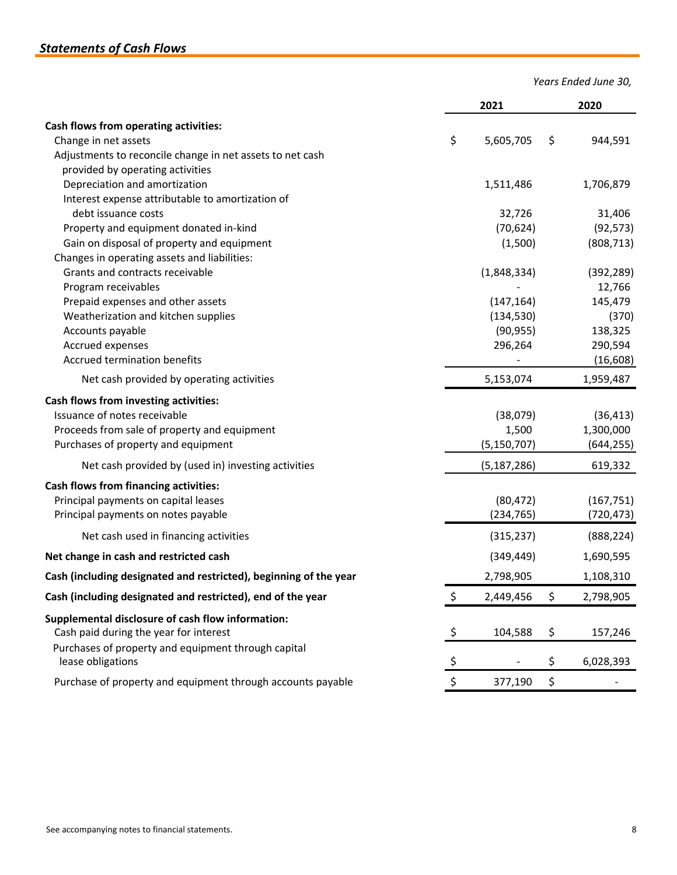# *Statements of Cash Flows*

|                                                                   | 2021            | 2020            |
|-------------------------------------------------------------------|-----------------|-----------------|
| Cash flows from operating activities:                             |                 |                 |
| Change in net assets                                              | \$<br>5,605,705 | \$<br>944,591   |
| Adjustments to reconcile change in net assets to net cash         |                 |                 |
| provided by operating activities                                  |                 |                 |
| Depreciation and amortization                                     | 1,511,486       | 1,706,879       |
| Interest expense attributable to amortization of                  |                 |                 |
| debt issuance costs                                               | 32,726          | 31,406          |
| Property and equipment donated in-kind                            | (70, 624)       | (92, 573)       |
| Gain on disposal of property and equipment                        | (1,500)         | (808, 713)      |
| Changes in operating assets and liabilities:                      |                 |                 |
| Grants and contracts receivable                                   | (1,848,334)     | (392, 289)      |
| Program receivables                                               |                 | 12,766          |
| Prepaid expenses and other assets                                 | (147, 164)      | 145,479         |
| Weatherization and kitchen supplies                               | (134, 530)      | (370)           |
| Accounts payable                                                  | (90, 955)       | 138,325         |
| Accrued expenses                                                  | 296,264         | 290,594         |
| Accrued termination benefits                                      |                 | (16, 608)       |
| Net cash provided by operating activities                         | 5,153,074       | 1,959,487       |
| Cash flows from investing activities:                             |                 |                 |
| Issuance of notes receivable                                      | (38,079)        | (36, 413)       |
| Proceeds from sale of property and equipment                      | 1,500           | 1,300,000       |
| Purchases of property and equipment                               | (5, 150, 707)   | (644, 255)      |
| Net cash provided by (used in) investing activities               | (5, 187, 286)   | 619,332         |
| <b>Cash flows from financing activities:</b>                      |                 |                 |
| Principal payments on capital leases                              | (80, 472)       | (167, 751)      |
| Principal payments on notes payable                               | (234, 765)      | (720, 473)      |
| Net cash used in financing activities                             | (315, 237)      | (888, 224)      |
| Net change in cash and restricted cash                            | (349, 449)      | 1,690,595       |
| Cash (including designated and restricted), beginning of the year | 2,798,905       | 1,108,310       |
| Cash (including designated and restricted), end of the year       | \$<br>2,449,456 | \$<br>2,798,905 |
| Supplemental disclosure of cash flow information:                 |                 |                 |
| Cash paid during the year for interest                            | \$<br>104,588   | \$<br>157,246   |
| Purchases of property and equipment through capital               |                 |                 |
| lease obligations                                                 | \$              | \$<br>6,028,393 |
| Purchase of property and equipment through accounts payable       | \$<br>377,190   | \$              |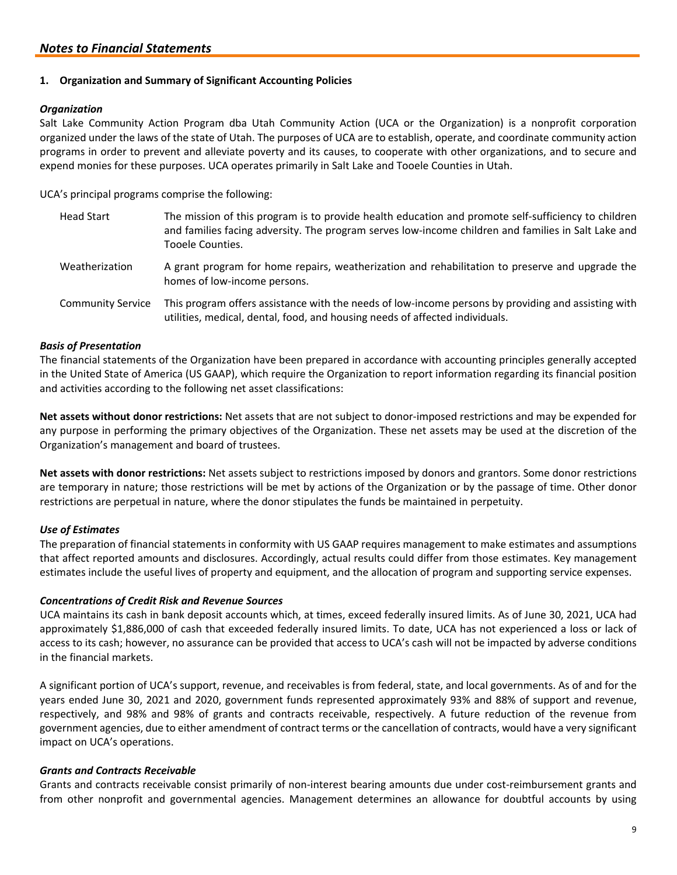## **1. Organization and Summary of Significant Accounting Policies**

## *Organization*

Salt Lake Community Action Program dba Utah Community Action (UCA or the Organization) is a nonprofit corporation organized under the laws of the state of Utah. The purposes of UCA are to establish, operate, and coordinate community action programs in order to prevent and alleviate poverty and its causes, to cooperate with other organizations, and to secure and expend monies for these purposes. UCA operates primarily in Salt Lake and Tooele Counties in Utah.

UCA's principal programs comprise the following:

| <b>Head Start</b>        | The mission of this program is to provide health education and promote self-sufficiency to children<br>and families facing adversity. The program serves low-income children and families in Salt Lake and<br>Tooele Counties. |
|--------------------------|--------------------------------------------------------------------------------------------------------------------------------------------------------------------------------------------------------------------------------|
| Weatherization           | A grant program for home repairs, weatherization and rehabilitation to preserve and upgrade the<br>homes of low-income persons.                                                                                                |
| <b>Community Service</b> | This program offers assistance with the needs of low-income persons by providing and assisting with<br>utilities, medical, dental, food, and housing needs of affected individuals.                                            |

## *Basis of Presentation*

The financial statements of the Organization have been prepared in accordance with accounting principles generally accepted in the United State of America (US GAAP), which require the Organization to report information regarding its financial position and activities according to the following net asset classifications:

**Net assets without donor restrictions:** Net assets that are not subject to donor‐imposed restrictions and may be expended for any purpose in performing the primary objectives of the Organization. These net assets may be used at the discretion of the Organization's management and board of trustees.

**Net assets with donor restrictions:** Net assets subject to restrictions imposed by donors and grantors. Some donor restrictions are temporary in nature; those restrictions will be met by actions of the Organization or by the passage of time. Other donor restrictions are perpetual in nature, where the donor stipulates the funds be maintained in perpetuity.

## *Use of Estimates*

The preparation of financial statements in conformity with US GAAP requires management to make estimates and assumptions that affect reported amounts and disclosures. Accordingly, actual results could differ from those estimates. Key management estimates include the useful lives of property and equipment, and the allocation of program and supporting service expenses.

## *Concentrations of Credit Risk and Revenue Sources*

UCA maintains its cash in bank deposit accounts which, at times, exceed federally insured limits. As of June 30, 2021, UCA had approximately \$1,886,000 of cash that exceeded federally insured limits. To date, UCA has not experienced a loss or lack of access to its cash; however, no assurance can be provided that access to UCA's cash will not be impacted by adverse conditions in the financial markets.

A significant portion of UCA's support, revenue, and receivables is from federal, state, and local governments. As of and for the years ended June 30, 2021 and 2020, government funds represented approximately 93% and 88% of support and revenue, respectively, and 98% and 98% of grants and contracts receivable, respectively. A future reduction of the revenue from government agencies, due to either amendment of contract terms or the cancellation of contracts, would have a very significant impact on UCA's operations.

## *Grants and Contracts Receivable*

Grants and contracts receivable consist primarily of non‐interest bearing amounts due under cost‐reimbursement grants and from other nonprofit and governmental agencies. Management determines an allowance for doubtful accounts by using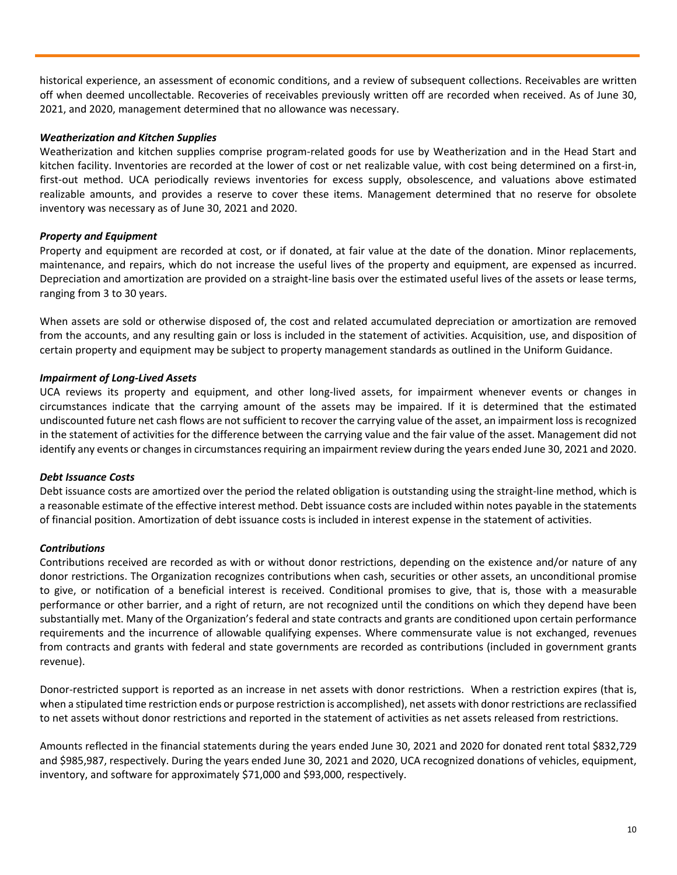historical experience, an assessment of economic conditions, and a review of subsequent collections. Receivables are written off when deemed uncollectable. Recoveries of receivables previously written off are recorded when received. As of June 30, 2021, and 2020, management determined that no allowance was necessary.

## *Weatherization and Kitchen Supplies*

Weatherization and kitchen supplies comprise program‐related goods for use by Weatherization and in the Head Start and kitchen facility. Inventories are recorded at the lower of cost or net realizable value, with cost being determined on a first‐in, first-out method. UCA periodically reviews inventories for excess supply, obsolescence, and valuations above estimated realizable amounts, and provides a reserve to cover these items. Management determined that no reserve for obsolete inventory was necessary as of June 30, 2021 and 2020.

## *Property and Equipment*

Property and equipment are recorded at cost, or if donated, at fair value at the date of the donation. Minor replacements, maintenance, and repairs, which do not increase the useful lives of the property and equipment, are expensed as incurred. Depreciation and amortization are provided on a straight-line basis over the estimated useful lives of the assets or lease terms, ranging from 3 to 30 years.

When assets are sold or otherwise disposed of, the cost and related accumulated depreciation or amortization are removed from the accounts, and any resulting gain or loss is included in the statement of activities. Acquisition, use, and disposition of certain property and equipment may be subject to property management standards as outlined in the Uniform Guidance.

## *Impairment of Long‐Lived Assets*

UCA reviews its property and equipment, and other long‐lived assets, for impairment whenever events or changes in circumstances indicate that the carrying amount of the assets may be impaired. If it is determined that the estimated undiscounted future net cash flows are not sufficient to recover the carrying value of the asset, an impairment lossisrecognized in the statement of activities for the difference between the carrying value and the fair value of the asset. Management did not identify any events or changes in circumstances requiring an impairment review during the years ended June 30, 2021 and 2020.

## *Debt Issuance Costs*

Debt issuance costs are amortized over the period the related obligation is outstanding using the straight-line method, which is a reasonable estimate of the effective interest method. Debt issuance costs are included within notes payable in the statements of financial position. Amortization of debt issuance costs is included in interest expense in the statement of activities.

## *Contributions*

Contributions received are recorded as with or without donor restrictions, depending on the existence and/or nature of any donor restrictions. The Organization recognizes contributions when cash, securities or other assets, an unconditional promise to give, or notification of a beneficial interest is received. Conditional promises to give, that is, those with a measurable performance or other barrier, and a right of return, are not recognized until the conditions on which they depend have been substantially met. Many of the Organization's federal and state contracts and grants are conditioned upon certain performance requirements and the incurrence of allowable qualifying expenses. Where commensurate value is not exchanged, revenues from contracts and grants with federal and state governments are recorded as contributions (included in government grants revenue).

Donor-restricted support is reported as an increase in net assets with donor restrictions. When a restriction expires (that is, when a stipulated time restriction ends or purpose restriction is accomplished), net assets with donorrestrictions are reclassified to net assets without donor restrictions and reported in the statement of activities as net assets released from restrictions.

Amounts reflected in the financial statements during the years ended June 30, 2021 and 2020 for donated rent total \$832,729 and \$985,987, respectively. During the years ended June 30, 2021 and 2020, UCA recognized donations of vehicles, equipment, inventory, and software for approximately \$71,000 and \$93,000, respectively.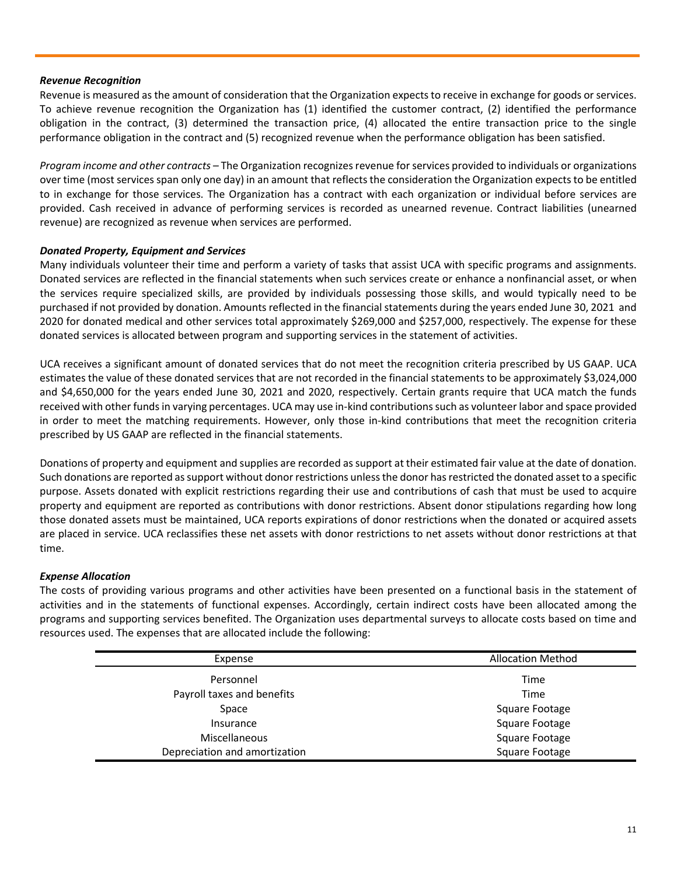## *Revenue Recognition*

Revenue is measured as the amount of consideration that the Organization expects to receive in exchange for goods or services. To achieve revenue recognition the Organization has (1) identified the customer contract, (2) identified the performance obligation in the contract, (3) determined the transaction price, (4) allocated the entire transaction price to the single performance obligation in the contract and (5) recognized revenue when the performance obligation has been satisfied.

*Program income and other contracts –* The Organization recognizesrevenue forservices provided to individuals or organizations over time (most services span only one day) in an amount that reflects the consideration the Organization expects to be entitled to in exchange for those services. The Organization has a contract with each organization or individual before services are provided. Cash received in advance of performing services is recorded as unearned revenue. Contract liabilities (unearned revenue) are recognized as revenue when services are performed.

## *Donated Property, Equipment and Services*

Many individuals volunteer their time and perform a variety of tasks that assist UCA with specific programs and assignments. Donated services are reflected in the financial statements when such services create or enhance a nonfinancial asset, or when the services require specialized skills, are provided by individuals possessing those skills, and would typically need to be purchased if not provided by donation. Amounts reflected in the financial statements during the years ended June 30, 2021 and 2020 for donated medical and other services total approximately \$269,000 and \$257,000, respectively. The expense for these donated services is allocated between program and supporting services in the statement of activities.

UCA receives a significant amount of donated services that do not meet the recognition criteria prescribed by US GAAP. UCA estimates the value of these donated services that are not recorded in the financial statements to be approximately \$3,024,000 and \$4,650,000 for the years ended June 30, 2021 and 2020, respectively. Certain grants require that UCA match the funds received with other funds in varying percentages. UCA may use in-kind contributions such as volunteer labor and space provided in order to meet the matching requirements. However, only those in-kind contributions that meet the recognition criteria prescribed by US GAAP are reflected in the financial statements.

Donations of property and equipment and supplies are recorded assupport at their estimated fair value at the date of donation. Such donations are reported assupport without donor restrictions unlessthe donor hasrestricted the donated asset to a specific purpose. Assets donated with explicit restrictions regarding their use and contributions of cash that must be used to acquire property and equipment are reported as contributions with donor restrictions. Absent donor stipulations regarding how long those donated assets must be maintained, UCA reports expirations of donor restrictions when the donated or acquired assets are placed in service. UCA reclassifies these net assets with donor restrictions to net assets without donor restrictions at that time.

## *Expense Allocation*

The costs of providing various programs and other activities have been presented on a functional basis in the statement of activities and in the statements of functional expenses. Accordingly, certain indirect costs have been allocated among the programs and supporting services benefited. The Organization uses departmental surveys to allocate costs based on time and resources used. The expenses that are allocated include the following:

| Expense                       | <b>Allocation Method</b> |
|-------------------------------|--------------------------|
| Personnel                     | Time                     |
| Payroll taxes and benefits    | Time                     |
| Space                         | Square Footage           |
| Insurance                     | Square Footage           |
| Miscellaneous                 | Square Footage           |
| Depreciation and amortization | Square Footage           |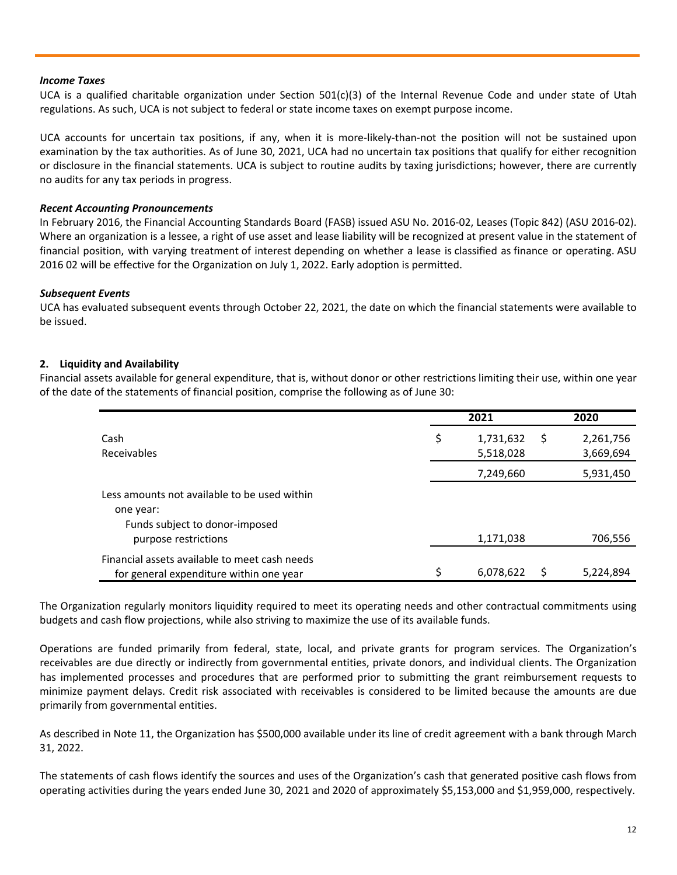## *Income Taxes*

UCA is a qualified charitable organization under Section 501(c)(3) of the Internal Revenue Code and under state of Utah regulations. As such, UCA is not subject to federal or state income taxes on exempt purpose income.

UCA accounts for uncertain tax positions, if any, when it is more‐likely‐than‐not the position will not be sustained upon examination by the tax authorities. As of June 30, 2021, UCA had no uncertain tax positions that qualify for either recognition or disclosure in the financial statements. UCA is subject to routine audits by taxing jurisdictions; however, there are currently no audits for any tax periods in progress.

#### *Recent Accounting Pronouncements*

In February 2016, the Financial Accounting Standards Board (FASB) issued ASU No. 2016‐02, Leases (Topic 842) (ASU 2016‐02). Where an organization is a lessee, a right of use asset and lease liability will be recognized at present value in the statement of financial position, with varying treatment of interest depending on whether a lease is classified as finance or operating. ASU 2016 02 will be effective for the Organization on July 1, 2022. Early adoption is permitted.

#### *Subsequent Events*

UCA has evaluated subsequent events through October 22, 2021, the date on which the financial statements were available to be issued.

## **2. Liquidity and Availability**

Financial assets available for general expenditure, that is, without donor or other restrictions limiting their use, within one year of the date of the statements of financial position, comprise the following as of June 30:

|                                                                                             |     | 2021                   | 2020                        |
|---------------------------------------------------------------------------------------------|-----|------------------------|-----------------------------|
| Cash<br>Receivables                                                                         | \$, | 1,731,632<br>5,518,028 | 2,261,756<br>S<br>3,669,694 |
|                                                                                             |     | 7,249,660              | 5,931,450                   |
| Less amounts not available to be used within<br>one year:<br>Funds subject to donor-imposed |     |                        |                             |
| purpose restrictions                                                                        |     | 1,171,038              | 706,556                     |
| Financial assets available to meet cash needs<br>for general expenditure within one year    | Ś   | 6,078,622              | 5,224,894                   |

The Organization regularly monitors liquidity required to meet its operating needs and other contractual commitments using budgets and cash flow projections, while also striving to maximize the use of its available funds.

Operations are funded primarily from federal, state, local, and private grants for program services. The Organization's receivables are due directly or indirectly from governmental entities, private donors, and individual clients. The Organization has implemented processes and procedures that are performed prior to submitting the grant reimbursement requests to minimize payment delays. Credit risk associated with receivables is considered to be limited because the amounts are due primarily from governmental entities.

As described in Note 11, the Organization has \$500,000 available under its line of credit agreement with a bank through March 31, 2022.

The statements of cash flows identify the sources and uses of the Organization's cash that generated positive cash flows from operating activities during the years ended June 30, 2021 and 2020 of approximately \$5,153,000 and \$1,959,000, respectively.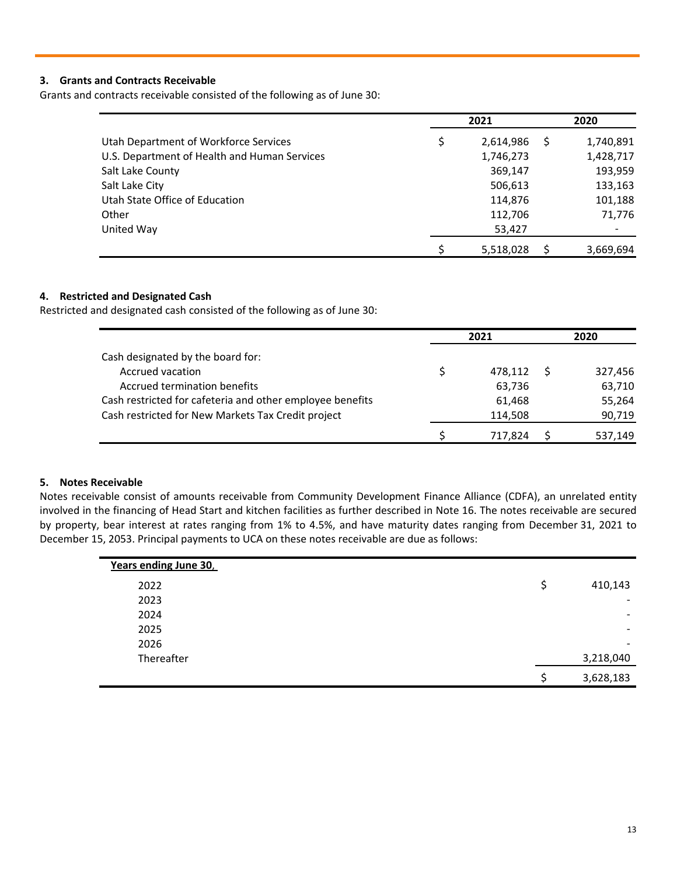## **3. Grants and Contracts Receivable**

Grants and contracts receivable consisted of the following as of June 30:

|                                              |    | 2021      |   | 2020      |
|----------------------------------------------|----|-----------|---|-----------|
| Utah Department of Workforce Services        | S. | 2,614,986 | S | 1,740,891 |
| U.S. Department of Health and Human Services |    | 1,746,273 |   | 1,428,717 |
| Salt Lake County                             |    | 369,147   |   | 193,959   |
| Salt Lake City                               |    | 506,613   |   | 133,163   |
| Utah State Office of Education               |    | 114,876   |   | 101,188   |
| Other                                        |    | 112,706   |   | 71,776    |
| United Way                                   |    | 53,427    |   |           |
|                                              |    | 5,518,028 |   | 3,669,694 |

## **4. Restricted and Designated Cash**

Restricted and designated cash consisted of the following as of June 30:

|                                                           | 2021    | 2020    |
|-----------------------------------------------------------|---------|---------|
| Cash designated by the board for:                         |         |         |
| Accrued vacation                                          | 478,112 | 327,456 |
| Accrued termination benefits                              | 63,736  | 63,710  |
| Cash restricted for cafeteria and other employee benefits | 61,468  | 55,264  |
| Cash restricted for New Markets Tax Credit project        | 114,508 | 90,719  |
|                                                           | 717.824 | 537,149 |

## **5. Notes Receivable**

Notes receivable consist of amounts receivable from Community Development Finance Alliance (CDFA), an unrelated entity involved in the financing of Head Start and kitchen facilities as further described in Note 16. The notes receivable are secured by property, bear interest at rates ranging from 1% to 4.5%, and have maturity dates ranging from December 31, 2021 to December 15, 2053. Principal payments to UCA on these notes receivable are due as follows:

| Years ending June 30, |    |                          |
|-----------------------|----|--------------------------|
| 2022                  | \$ | 410,143                  |
| 2023                  |    |                          |
| 2024                  |    | $\overline{\phantom{a}}$ |
| 2025                  |    | $\overline{\phantom{a}}$ |
| 2026                  |    | $\overline{\phantom{a}}$ |
| Thereafter            |    | 3,218,040                |
|                       | Ś  | 3,628,183                |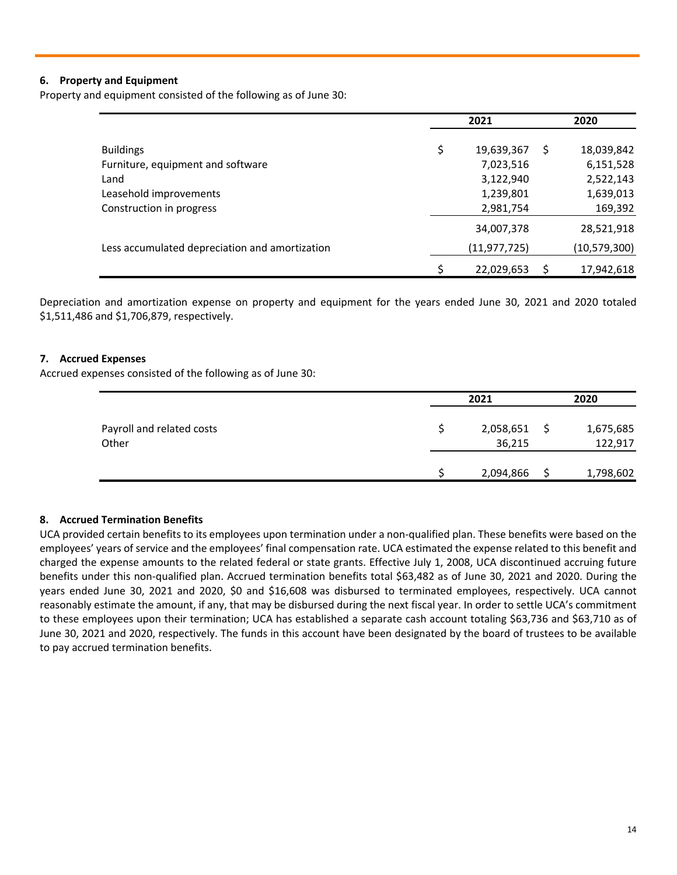## **6. Property and Equipment**

Property and equipment consisted of the following as of June 30:

|                                                |    | 2021           |   | 2020         |
|------------------------------------------------|----|----------------|---|--------------|
| <b>Buildings</b>                               | \$ | 19,639,367     | Ş | 18,039,842   |
| Furniture, equipment and software              |    | 7,023,516      |   | 6,151,528    |
| Land                                           |    | 3,122,940      |   | 2,522,143    |
| Leasehold improvements                         |    | 1,239,801      |   | 1,639,013    |
| Construction in progress                       |    | 2,981,754      |   | 169,392      |
|                                                |    | 34,007,378     |   | 28,521,918   |
| Less accumulated depreciation and amortization |    | (11, 977, 725) |   | (10,579,300) |
|                                                |    | 22,029,653     |   | 17,942,618   |

Depreciation and amortization expense on property and equipment for the years ended June 30, 2021 and 2020 totaled \$1,511,486 and \$1,706,879, respectively.

## **7. Accrued Expenses**

Accrued expenses consisted of the following as of June 30:

|                                    | 2021                | 2020                 |  |  |
|------------------------------------|---------------------|----------------------|--|--|
| Payroll and related costs<br>Other | 2,058,651<br>36,215 | 1,675,685<br>122,917 |  |  |
|                                    | 2,094,866           | 1,798,602            |  |  |

## **8. Accrued Termination Benefits**

UCA provided certain benefits to its employees upon termination under a non‐qualified plan. These benefits were based on the employees' years of service and the employees' final compensation rate. UCA estimated the expense related to this benefit and charged the expense amounts to the related federal or state grants. Effective July 1, 2008, UCA discontinued accruing future benefits under this non‐qualified plan. Accrued termination benefits total \$63,482 as of June 30, 2021 and 2020. During the years ended June 30, 2021 and 2020, \$0 and \$16,608 was disbursed to terminated employees, respectively. UCA cannot reasonably estimate the amount, if any, that may be disbursed during the next fiscal year. In order to settle UCA's commitment to these employees upon their termination; UCA has established a separate cash account totaling \$63,736 and \$63,710 as of June 30, 2021 and 2020, respectively. The funds in this account have been designated by the board of trustees to be available to pay accrued termination benefits.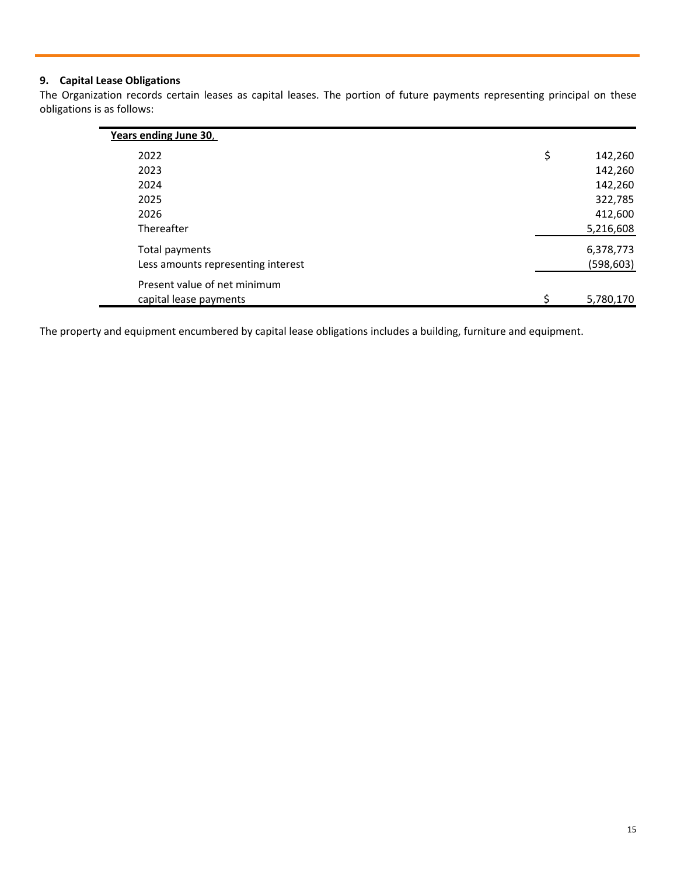# **9. Capital Lease Obligations**

The Organization records certain leases as capital leases. The portion of future payments representing principal on these obligations is as follows:

| Years ending June 30,              |                 |
|------------------------------------|-----------------|
| 2022                               | \$<br>142,260   |
| 2023                               | 142,260         |
| 2024                               | 142,260         |
| 2025                               | 322,785         |
| 2026                               | 412,600         |
| Thereafter                         | 5,216,608       |
| Total payments                     | 6,378,773       |
| Less amounts representing interest | (598, 603)      |
| Present value of net minimum       |                 |
| capital lease payments             | \$<br>5,780,170 |

The property and equipment encumbered by capital lease obligations includes a building, furniture and equipment.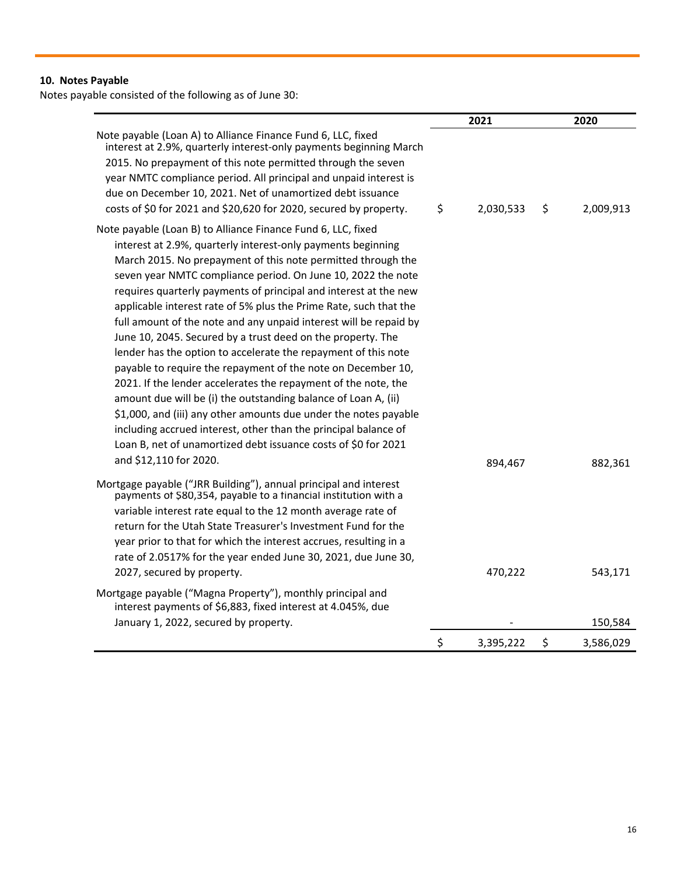# **10. Notes Payable**

Notes payable consisted of the following as of June 30:

|                                                                                                                                                                                                                                                                                                                                                                                                                                                                                                                                                                                                                                                                                                                                                                                                                                                                                                                                                                                                                          | 2021            | 2020            |
|--------------------------------------------------------------------------------------------------------------------------------------------------------------------------------------------------------------------------------------------------------------------------------------------------------------------------------------------------------------------------------------------------------------------------------------------------------------------------------------------------------------------------------------------------------------------------------------------------------------------------------------------------------------------------------------------------------------------------------------------------------------------------------------------------------------------------------------------------------------------------------------------------------------------------------------------------------------------------------------------------------------------------|-----------------|-----------------|
| Note payable (Loan A) to Alliance Finance Fund 6, LLC, fixed<br>interest at 2.9%, quarterly interest-only payments beginning March<br>2015. No prepayment of this note permitted through the seven<br>year NMTC compliance period. All principal and unpaid interest is<br>due on December 10, 2021. Net of unamortized debt issuance<br>costs of \$0 for 2021 and \$20,620 for 2020, secured by property.                                                                                                                                                                                                                                                                                                                                                                                                                                                                                                                                                                                                               | \$<br>2,030,533 | \$<br>2,009,913 |
| Note payable (Loan B) to Alliance Finance Fund 6, LLC, fixed<br>interest at 2.9%, quarterly interest-only payments beginning<br>March 2015. No prepayment of this note permitted through the<br>seven year NMTC compliance period. On June 10, 2022 the note<br>requires quarterly payments of principal and interest at the new<br>applicable interest rate of 5% plus the Prime Rate, such that the<br>full amount of the note and any unpaid interest will be repaid by<br>June 10, 2045. Secured by a trust deed on the property. The<br>lender has the option to accelerate the repayment of this note<br>payable to require the repayment of the note on December 10,<br>2021. If the lender accelerates the repayment of the note, the<br>amount due will be (i) the outstanding balance of Loan A, (ii)<br>\$1,000, and (iii) any other amounts due under the notes payable<br>including accrued interest, other than the principal balance of<br>Loan B, net of unamortized debt issuance costs of \$0 for 2021 |                 |                 |
| and \$12,110 for 2020.                                                                                                                                                                                                                                                                                                                                                                                                                                                                                                                                                                                                                                                                                                                                                                                                                                                                                                                                                                                                   | 894,467         | 882,361         |
| Mortgage payable ("JRR Building"), annual principal and interest<br>payments of \$80,354, payable to a financial institution with a<br>variable interest rate equal to the 12 month average rate of<br>return for the Utah State Treasurer's Investment Fund for the<br>year prior to that for which the interest accrues, resulting in a<br>rate of 2.0517% for the year ended June 30, 2021, due June 30,                                                                                                                                                                                                                                                                                                                                                                                                                                                                                                                                                                                                              |                 |                 |
| 2027, secured by property.                                                                                                                                                                                                                                                                                                                                                                                                                                                                                                                                                                                                                                                                                                                                                                                                                                                                                                                                                                                               | 470,222         | 543,171         |
| Mortgage payable ("Magna Property"), monthly principal and<br>interest payments of \$6,883, fixed interest at 4.045%, due                                                                                                                                                                                                                                                                                                                                                                                                                                                                                                                                                                                                                                                                                                                                                                                                                                                                                                |                 |                 |
| January 1, 2022, secured by property.                                                                                                                                                                                                                                                                                                                                                                                                                                                                                                                                                                                                                                                                                                                                                                                                                                                                                                                                                                                    |                 | 150,584         |
|                                                                                                                                                                                                                                                                                                                                                                                                                                                                                                                                                                                                                                                                                                                                                                                                                                                                                                                                                                                                                          | \$<br>3,395,222 | \$<br>3,586,029 |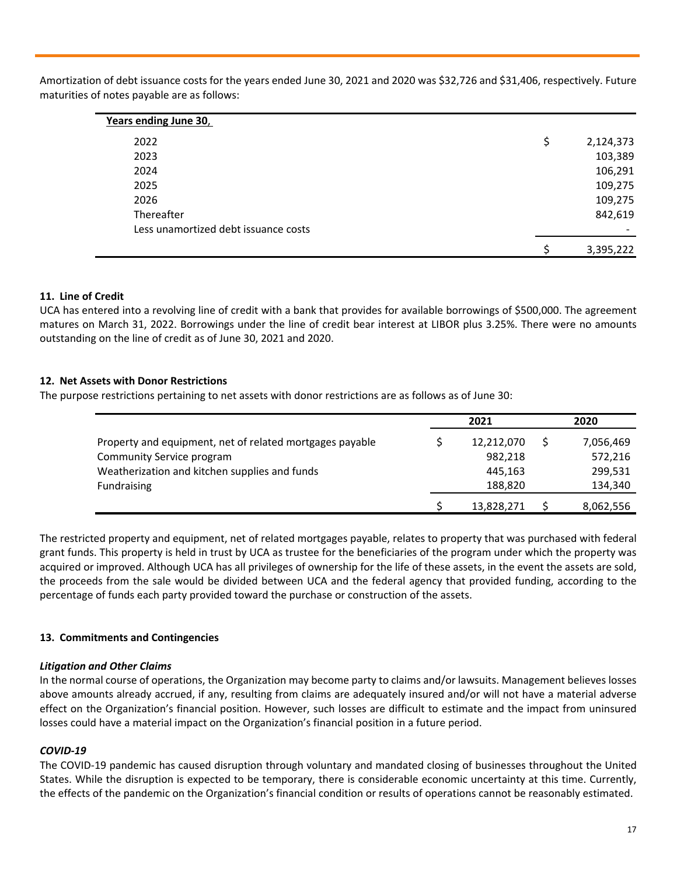Amortization of debt issuance costs for the years ended June 30, 2021 and 2020 was \$32,726 and \$31,406, respectively. Future maturities of notes payable are as follows:

| Years ending June 30,                |                 |
|--------------------------------------|-----------------|
| 2022                                 | \$<br>2,124,373 |
| 2023                                 | 103,389         |
| 2024                                 | 106,291         |
| 2025                                 | 109,275         |
| 2026                                 | 109,275         |
| Thereafter                           | 842,619         |
| Less unamortized debt issuance costs |                 |
|                                      | 3,395,222       |

## **11. Line of Credit**

UCA has entered into a revolving line of credit with a bank that provides for available borrowings of \$500,000. The agreement matures on March 31, 2022. Borrowings under the line of credit bear interest at LIBOR plus 3.25%. There were no amounts outstanding on the line of credit as of June 30, 2021 and 2020.

## **12. Net Assets with Donor Restrictions**

The purpose restrictions pertaining to net assets with donor restrictions are as follows as of June 30:

|                                                          | 2021       | 2020      |
|----------------------------------------------------------|------------|-----------|
| Property and equipment, net of related mortgages payable | 12,212,070 | 7,056,469 |
| Community Service program                                | 982,218    | 572,216   |
| Weatherization and kitchen supplies and funds            | 445,163    | 299,531   |
| <b>Fundraising</b>                                       | 188,820    | 134,340   |
|                                                          | 13,828,271 | 8,062,556 |

The restricted property and equipment, net of related mortgages payable, relates to property that was purchased with federal grant funds. This property is held in trust by UCA as trustee for the beneficiaries of the program under which the property was acquired or improved. Although UCA has all privileges of ownership for the life of these assets, in the event the assets are sold, the proceeds from the sale would be divided between UCA and the federal agency that provided funding, according to the percentage of funds each party provided toward the purchase or construction of the assets.

## **13. Commitments and Contingencies**

## *Litigation and Other Claims*

In the normal course of operations, the Organization may become party to claims and/or lawsuits. Management believes losses above amounts already accrued, if any, resulting from claims are adequately insured and/or will not have a material adverse effect on the Organization's financial position. However, such losses are difficult to estimate and the impact from uninsured losses could have a material impact on the Organization's financial position in a future period.

## *COVID‐19*

The COVID‐19 pandemic has caused disruption through voluntary and mandated closing of businesses throughout the United States. While the disruption is expected to be temporary, there is considerable economic uncertainty at this time. Currently, the effects of the pandemic on the Organization's financial condition or results of operations cannot be reasonably estimated.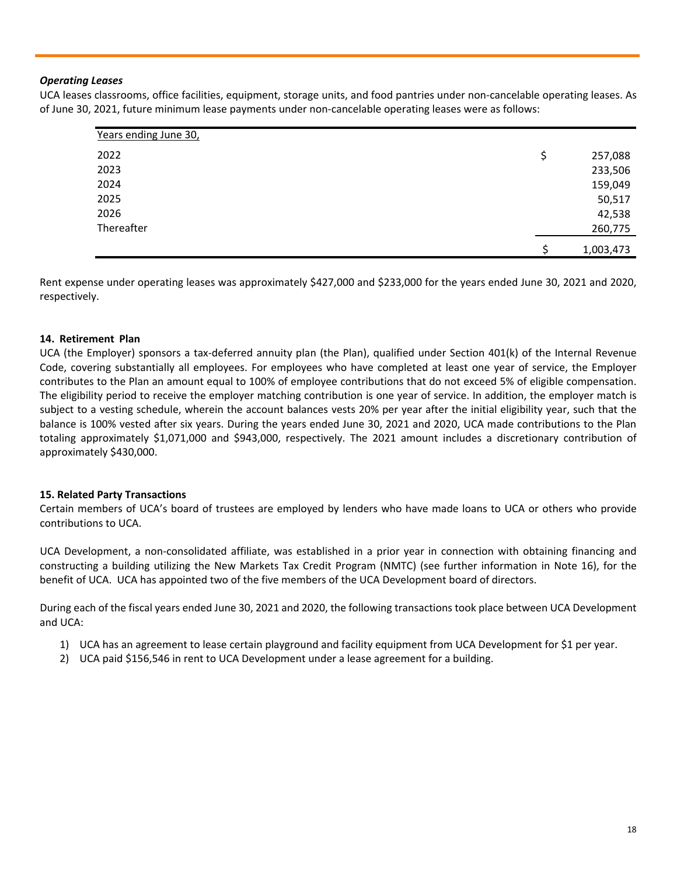## *Operating Leases*

| Years ending June 30, |    |           |
|-----------------------|----|-----------|
| 2022                  | \$ | 257,088   |
| 2023                  |    | 233,506   |
| 2024                  |    | 159,049   |
| 2025                  |    | 50,517    |
| 2026                  |    | 42,538    |
| Thereafter            |    | 260,775   |
|                       | S  | 1,003,473 |

UCA leases classrooms, office facilities, equipment, storage units, and food pantries under non‐cancelable operating leases. As of June 30, 2021, future minimum lease payments under non‐cancelable operating leases were as follows:

Rent expense under operating leases was approximately \$427,000 and \$233,000 for the years ended June 30, 2021 and 2020, respectively.

## **14. Retirement Plan**

UCA (the Employer) sponsors a tax‐deferred annuity plan (the Plan), qualified under Section 401(k) of the Internal Revenue Code, covering substantially all employees. For employees who have completed at least one year of service, the Employer contributes to the Plan an amount equal to 100% of employee contributions that do not exceed 5% of eligible compensation. The eligibility period to receive the employer matching contribution is one year of service. In addition, the employer match is subject to a vesting schedule, wherein the account balances vests 20% per year after the initial eligibility year, such that the balance is 100% vested after six years. During the years ended June 30, 2021 and 2020, UCA made contributions to the Plan totaling approximately \$1,071,000 and \$943,000, respectively. The 2021 amount includes a discretionary contribution of approximately \$430,000.

## **15. Related Party Transactions**

Certain members of UCA's board of trustees are employed by lenders who have made loans to UCA or others who provide contributions to UCA.

UCA Development, a non‐consolidated affiliate, was established in a prior year in connection with obtaining financing and constructing a building utilizing the New Markets Tax Credit Program (NMTC) (see further information in Note 16), for the benefit of UCA. UCA has appointed two of the five members of the UCA Development board of directors.

During each of the fiscal years ended June 30, 2021 and 2020, the following transactions took place between UCA Development and UCA:

- 1) UCA has an agreement to lease certain playground and facility equipment from UCA Development for \$1 per year.
- 2) UCA paid \$156,546 in rent to UCA Development under a lease agreement for a building.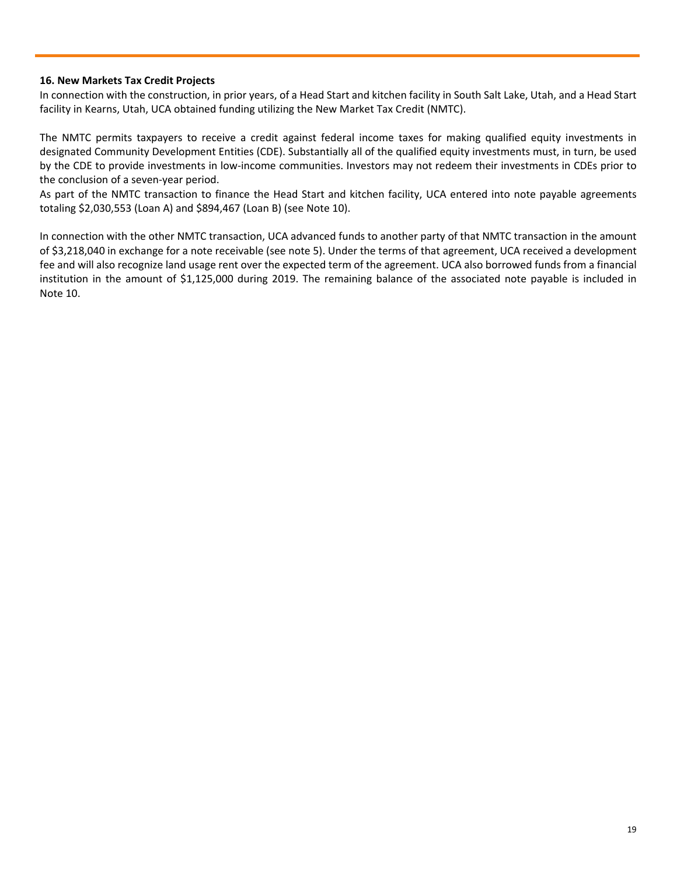## **16. New Markets Tax Credit Projects**

In connection with the construction, in prior years, of a Head Start and kitchen facility in South Salt Lake, Utah, and a Head Start facility in Kearns, Utah, UCA obtained funding utilizing the New Market Tax Credit (NMTC).

The NMTC permits taxpayers to receive a credit against federal income taxes for making qualified equity investments in designated Community Development Entities (CDE). Substantially all of the qualified equity investments must, in turn, be used by the CDE to provide investments in low‐income communities. Investors may not redeem their investments in CDEs prior to the conclusion of a seven‐year period.

As part of the NMTC transaction to finance the Head Start and kitchen facility, UCA entered into note payable agreements totaling \$2,030,553 (Loan A) and \$894,467 (Loan B) (see Note 10).

In connection with the other NMTC transaction, UCA advanced funds to another party of that NMTC transaction in the amount of \$3,218,040 in exchange for a note receivable (see note 5). Under the terms of that agreement, UCA received a development fee and will also recognize land usage rent over the expected term of the agreement. UCA also borrowed funds from a financial institution in the amount of \$1,125,000 during 2019. The remaining balance of the associated note payable is included in Note 10.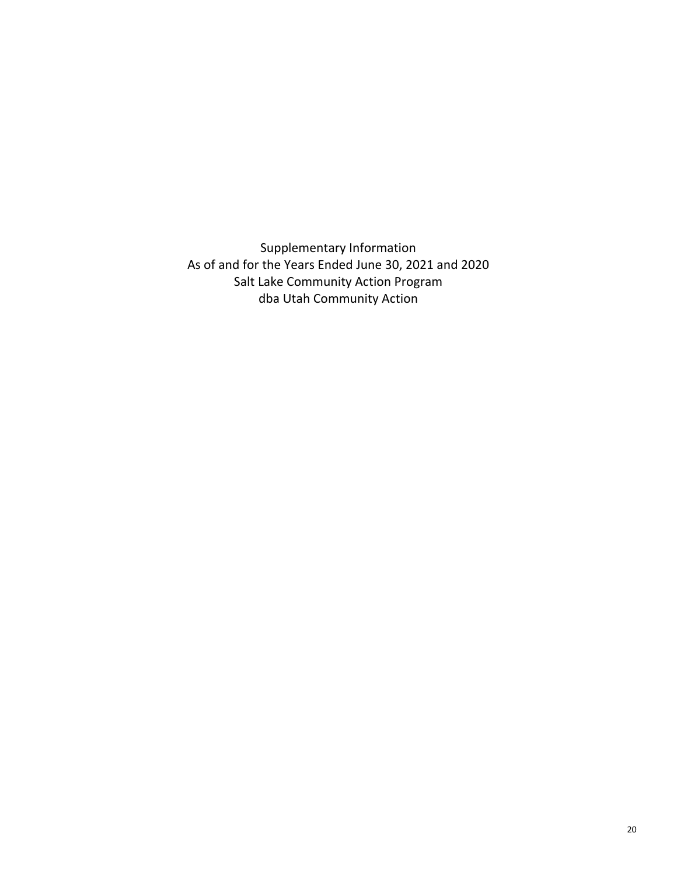Supplementary Information As of and for the Years Ended June 30, 2021 and 2020 Salt Lake Community Action Program dba Utah Community Action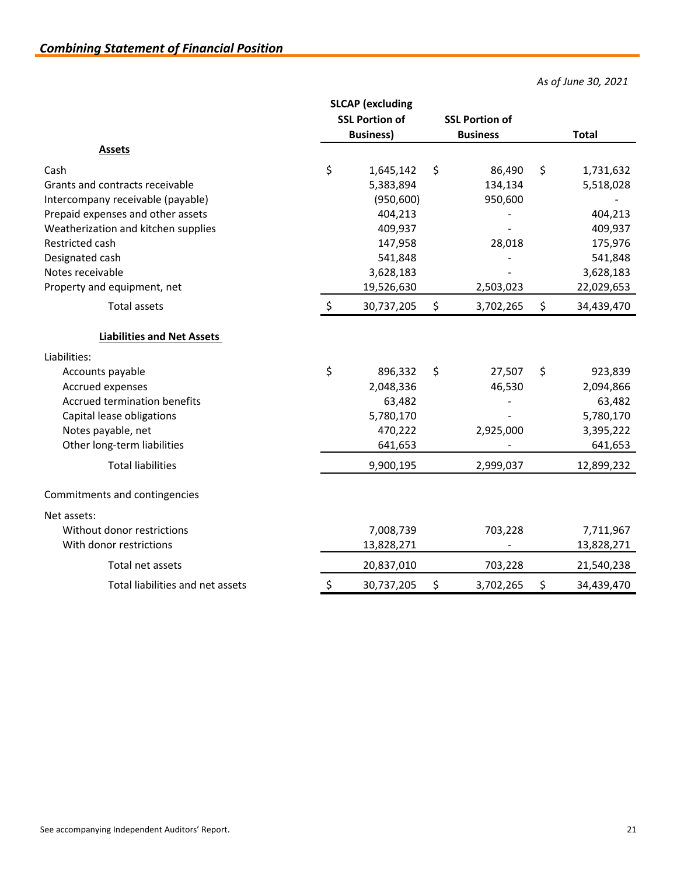*As of June 30, 2021*

|                                                                                                                                                                                                                    |         | <b>SLCAP</b> (excluding<br><b>SSL Portion of</b><br><b>Business)</b>                          | <b>SSL Portion of</b><br><b>Business</b>         | <b>Total</b>                                                                            |
|--------------------------------------------------------------------------------------------------------------------------------------------------------------------------------------------------------------------|---------|-----------------------------------------------------------------------------------------------|--------------------------------------------------|-----------------------------------------------------------------------------------------|
| <b>Assets</b>                                                                                                                                                                                                      |         |                                                                                               |                                                  |                                                                                         |
| Cash<br>Grants and contracts receivable<br>Intercompany receivable (payable)<br>Prepaid expenses and other assets<br>Weatherization and kitchen supplies<br>Restricted cash<br>Designated cash<br>Notes receivable | \$      | 1,645,142<br>5,383,894<br>(950, 600)<br>404,213<br>409,937<br>147,958<br>541,848<br>3,628,183 | \$<br>86,490<br>134,134<br>950,600<br>28,018     | \$<br>1,731,632<br>5,518,028<br>404,213<br>409,937<br>175,976<br>541,848<br>3,628,183   |
| Property and equipment, net                                                                                                                                                                                        |         | 19,526,630                                                                                    | 2,503,023                                        | 22,029,653                                                                              |
| Total assets                                                                                                                                                                                                       | $\zeta$ | 30,737,205                                                                                    | \$<br>3,702,265                                  | \$<br>34,439,470                                                                        |
| <b>Liabilities and Net Assets</b>                                                                                                                                                                                  |         |                                                                                               |                                                  |                                                                                         |
| Liabilities:<br>Accounts payable<br>Accrued expenses<br><b>Accrued termination benefits</b><br>Capital lease obligations<br>Notes payable, net<br>Other long-term liabilities<br><b>Total liabilities</b>          | \$      | 896,332<br>2,048,336<br>63,482<br>5,780,170<br>470,222<br>641,653<br>9,900,195                | \$<br>27,507<br>46,530<br>2,925,000<br>2,999,037 | \$<br>923,839<br>2,094,866<br>63,482<br>5,780,170<br>3,395,222<br>641,653<br>12,899,232 |
| Commitments and contingencies                                                                                                                                                                                      |         |                                                                                               |                                                  |                                                                                         |
| Net assets:<br>Without donor restrictions<br>With donor restrictions                                                                                                                                               |         | 7,008,739<br>13,828,271                                                                       | 703,228                                          | 7,711,967<br>13,828,271                                                                 |
| Total net assets                                                                                                                                                                                                   |         | 20,837,010                                                                                    | 703,228                                          | 21,540,238                                                                              |
| Total liabilities and net assets                                                                                                                                                                                   | \$      | 30,737,205                                                                                    | \$<br>3,702,265                                  | \$<br>34,439,470                                                                        |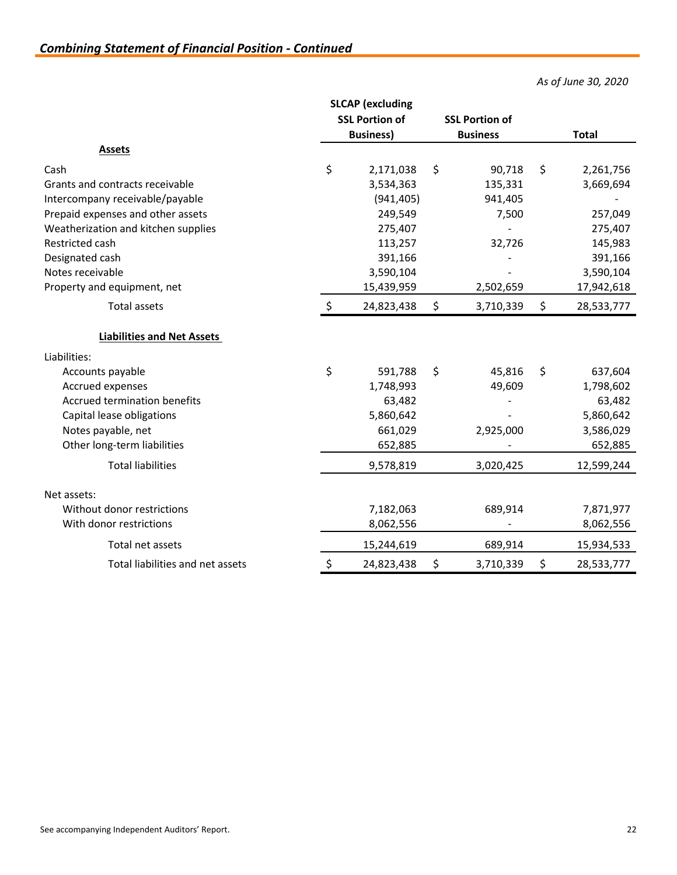*As of June 30, 2020*

|                                     |         | <b>SLCAP</b> (excluding<br><b>SSL Portion of</b><br><b>Business)</b> | <b>SSL Portion of</b><br><b>Business</b> | <b>Total</b>     |
|-------------------------------------|---------|----------------------------------------------------------------------|------------------------------------------|------------------|
| <b>Assets</b>                       |         |                                                                      |                                          |                  |
| Cash                                | \$      | 2,171,038                                                            | \$<br>90,718                             | \$<br>2,261,756  |
| Grants and contracts receivable     |         | 3,534,363                                                            | 135,331                                  | 3,669,694        |
| Intercompany receivable/payable     |         | (941, 405)                                                           | 941,405                                  |                  |
| Prepaid expenses and other assets   |         | 249,549                                                              | 7,500                                    | 257,049          |
| Weatherization and kitchen supplies |         | 275,407                                                              |                                          | 275,407          |
| Restricted cash                     |         | 113,257                                                              | 32,726                                   | 145,983          |
| Designated cash                     |         | 391,166                                                              |                                          | 391,166          |
| Notes receivable                    |         | 3,590,104                                                            |                                          | 3,590,104        |
| Property and equipment, net         |         | 15,439,959                                                           | 2,502,659                                | 17,942,618       |
| Total assets                        | $\zeta$ | 24,823,438                                                           | \$<br>3,710,339                          | \$<br>28,533,777 |
| <b>Liabilities and Net Assets</b>   |         |                                                                      |                                          |                  |
| Liabilities:                        |         |                                                                      |                                          |                  |
| Accounts payable                    | \$      | 591,788                                                              | \$<br>45,816                             | \$<br>637,604    |
| Accrued expenses                    |         | 1,748,993                                                            | 49,609                                   | 1,798,602        |
| <b>Accrued termination benefits</b> |         | 63,482                                                               |                                          | 63,482           |
| Capital lease obligations           |         | 5,860,642                                                            |                                          | 5,860,642        |
| Notes payable, net                  |         | 661,029                                                              | 2,925,000                                | 3,586,029        |
| Other long-term liabilities         |         | 652,885                                                              |                                          | 652,885          |
| <b>Total liabilities</b>            |         | 9,578,819                                                            | 3,020,425                                | 12,599,244       |
| Net assets:                         |         |                                                                      |                                          |                  |
| Without donor restrictions          |         | 7,182,063                                                            | 689,914                                  | 7,871,977        |
| With donor restrictions             |         | 8,062,556                                                            |                                          | 8,062,556        |
| Total net assets                    |         | 15,244,619                                                           | 689,914                                  | 15,934,533       |
| Total liabilities and net assets    | \$      | 24,823,438                                                           | \$<br>3,710,339                          | \$<br>28,533,777 |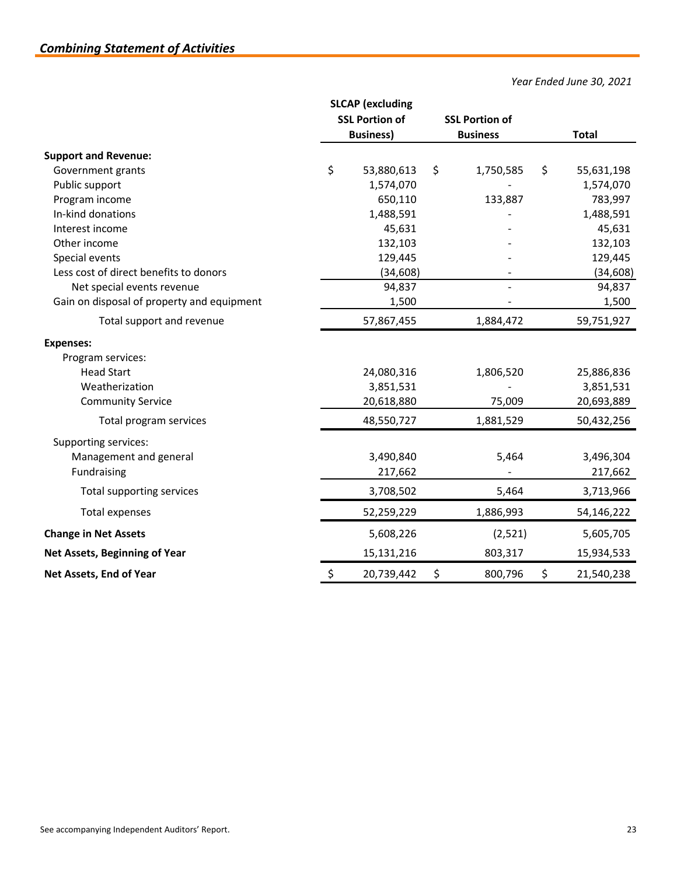|                                            | <b>SLCAP</b> (excluding<br><b>SSL Portion of</b> | <b>SSL Portion of</b> |                  |
|--------------------------------------------|--------------------------------------------------|-----------------------|------------------|
|                                            | <b>Business)</b>                                 | <b>Business</b>       | <b>Total</b>     |
| <b>Support and Revenue:</b>                |                                                  |                       |                  |
| Government grants                          | \$<br>53,880,613                                 | \$<br>1,750,585       | \$<br>55,631,198 |
| Public support                             | 1,574,070                                        |                       | 1,574,070        |
| Program income                             | 650,110                                          | 133,887               | 783,997          |
| In-kind donations                          | 1,488,591                                        |                       | 1,488,591        |
| Interest income                            | 45,631                                           |                       | 45,631           |
| Other income                               | 132,103                                          |                       | 132,103          |
| Special events                             | 129,445                                          |                       | 129,445          |
| Less cost of direct benefits to donors     | (34, 608)                                        |                       | (34, 608)        |
| Net special events revenue                 | 94,837                                           |                       | 94,837           |
| Gain on disposal of property and equipment | 1,500                                            |                       | 1,500            |
| Total support and revenue                  | 57,867,455                                       | 1,884,472             | 59,751,927       |
| <b>Expenses:</b>                           |                                                  |                       |                  |
| Program services:                          |                                                  |                       |                  |
| <b>Head Start</b>                          | 24,080,316                                       | 1,806,520             | 25,886,836       |
| Weatherization                             | 3,851,531                                        |                       | 3,851,531        |
| <b>Community Service</b>                   | 20,618,880                                       | 75,009                | 20,693,889       |
| Total program services                     | 48,550,727                                       | 1,881,529             | 50,432,256       |
| Supporting services:                       |                                                  |                       |                  |
| Management and general                     | 3,490,840                                        | 5,464                 | 3,496,304        |
| Fundraising                                | 217,662                                          |                       | 217,662          |
| Total supporting services                  | 3,708,502                                        | 5,464                 | 3,713,966        |
| Total expenses                             | 52,259,229                                       | 1,886,993             | 54,146,222       |
| <b>Change in Net Assets</b>                | 5,608,226                                        | (2,521)               | 5,605,705        |
| <b>Net Assets, Beginning of Year</b>       | 15,131,216                                       | 803,317               | 15,934,533       |
| Net Assets, End of Year                    | \$<br>20,739,442                                 | \$<br>800,796         | \$<br>21,540,238 |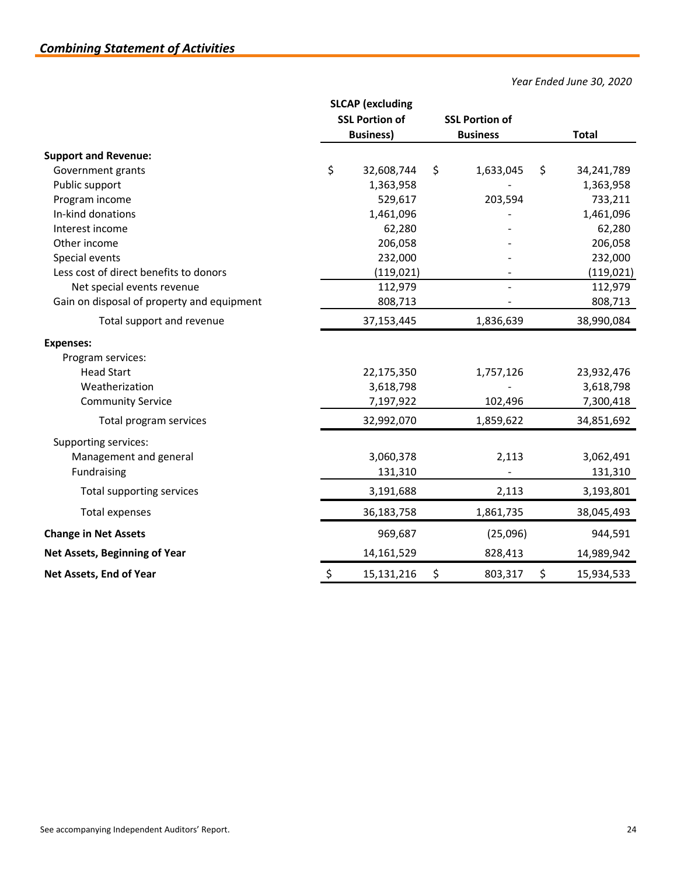|                                            | <b>SLCAP</b> (excluding<br><b>SSL Portion of</b><br><b>Business)</b> |            | <b>SSL Portion of</b> |              |
|--------------------------------------------|----------------------------------------------------------------------|------------|-----------------------|--------------|
|                                            |                                                                      |            | <b>Business</b>       | <b>Total</b> |
| <b>Support and Revenue:</b>                |                                                                      |            |                       |              |
| Government grants                          | \$                                                                   | 32,608,744 | \$<br>\$<br>1,633,045 | 34,241,789   |
| Public support                             |                                                                      | 1,363,958  |                       | 1,363,958    |
| Program income                             |                                                                      | 529,617    | 203,594               | 733,211      |
| In-kind donations                          |                                                                      | 1,461,096  |                       | 1,461,096    |
| Interest income                            |                                                                      | 62,280     |                       | 62,280       |
| Other income                               |                                                                      | 206,058    |                       | 206,058      |
| Special events                             |                                                                      | 232,000    |                       | 232,000      |
| Less cost of direct benefits to donors     |                                                                      | (119, 021) |                       | (119, 021)   |
| Net special events revenue                 |                                                                      | 112,979    |                       | 112,979      |
| Gain on disposal of property and equipment |                                                                      | 808,713    |                       | 808,713      |
| Total support and revenue                  |                                                                      | 37,153,445 | 1,836,639             | 38,990,084   |
| <b>Expenses:</b>                           |                                                                      |            |                       |              |
| Program services:                          |                                                                      |            |                       |              |
| <b>Head Start</b>                          |                                                                      | 22,175,350 | 1,757,126             | 23,932,476   |
| Weatherization                             |                                                                      | 3,618,798  |                       | 3,618,798    |
| <b>Community Service</b>                   |                                                                      | 7,197,922  | 102,496               | 7,300,418    |
| Total program services                     |                                                                      | 32,992,070 | 1,859,622             | 34,851,692   |
| Supporting services:                       |                                                                      |            |                       |              |
| Management and general                     |                                                                      | 3,060,378  | 2,113                 | 3,062,491    |
| Fundraising                                |                                                                      | 131,310    |                       | 131,310      |
| Total supporting services                  |                                                                      | 3,191,688  | 2,113                 | 3,193,801    |
| <b>Total expenses</b>                      |                                                                      | 36,183,758 | 1,861,735             | 38,045,493   |
| <b>Change in Net Assets</b>                |                                                                      | 969,687    | (25,096)              | 944,591      |
| Net Assets, Beginning of Year              |                                                                      | 14,161,529 | 828,413               | 14,989,942   |
| Net Assets, End of Year                    | \$                                                                   | 15,131,216 | \$<br>\$<br>803,317   | 15,934,533   |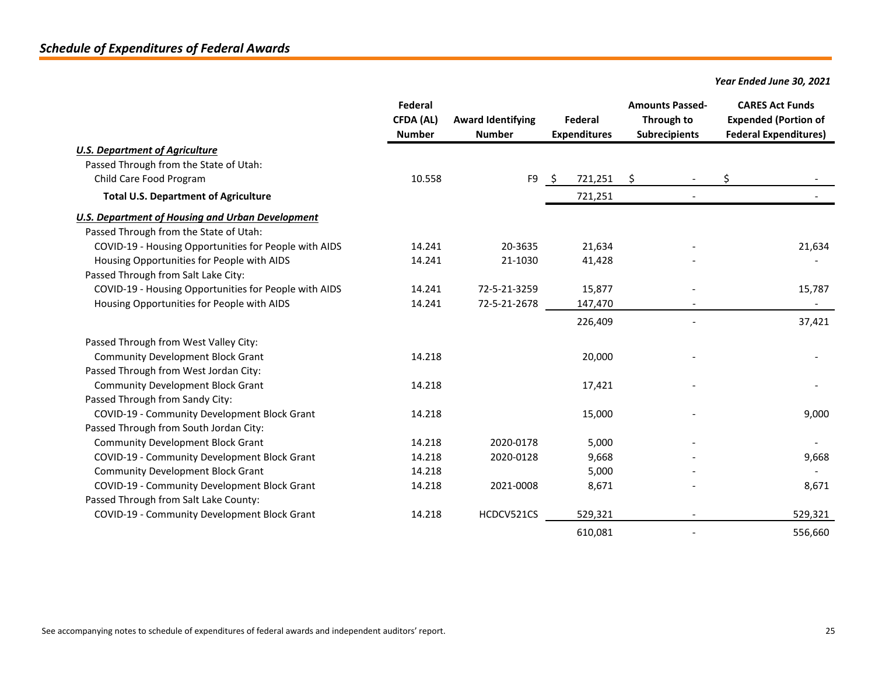|                                                         | Federal<br>CFDA (AL)<br><b>Number</b> | <b>Award Identifying</b><br><b>Number</b> | Federal<br><b>Expenditures</b> | <b>Amounts Passed-</b><br>Through to<br><b>Subrecipients</b> | <b>CARES Act Funds</b><br><b>Expended (Portion of</b><br><b>Federal Expenditures)</b> |
|---------------------------------------------------------|---------------------------------------|-------------------------------------------|--------------------------------|--------------------------------------------------------------|---------------------------------------------------------------------------------------|
| <b>U.S. Department of Agriculture</b>                   |                                       |                                           |                                |                                                              |                                                                                       |
| Passed Through from the State of Utah:                  |                                       |                                           |                                |                                                              |                                                                                       |
| Child Care Food Program                                 | 10.558                                | F9                                        | - \$<br>721,251                | Ŝ.                                                           | \$                                                                                    |
| <b>Total U.S. Department of Agriculture</b>             |                                       |                                           | 721,251                        |                                                              |                                                                                       |
| <b>U.S. Department of Housing and Urban Development</b> |                                       |                                           |                                |                                                              |                                                                                       |
| Passed Through from the State of Utah:                  |                                       |                                           |                                |                                                              |                                                                                       |
| COVID-19 - Housing Opportunities for People with AIDS   | 14.241                                | 20-3635                                   | 21,634                         |                                                              | 21,634                                                                                |
| Housing Opportunities for People with AIDS              | 14.241                                | 21-1030                                   | 41,428                         |                                                              |                                                                                       |
| Passed Through from Salt Lake City:                     |                                       |                                           |                                |                                                              |                                                                                       |
| COVID-19 - Housing Opportunities for People with AIDS   | 14.241                                | 72-5-21-3259                              | 15,877                         |                                                              | 15,787                                                                                |
| Housing Opportunities for People with AIDS              | 14.241                                | 72-5-21-2678                              | 147,470                        |                                                              |                                                                                       |
|                                                         |                                       |                                           | 226,409                        |                                                              | 37,421                                                                                |
| Passed Through from West Valley City:                   |                                       |                                           |                                |                                                              |                                                                                       |
| <b>Community Development Block Grant</b>                | 14.218                                |                                           | 20,000                         |                                                              |                                                                                       |
| Passed Through from West Jordan City:                   |                                       |                                           |                                |                                                              |                                                                                       |
| <b>Community Development Block Grant</b>                | 14.218                                |                                           | 17,421                         |                                                              |                                                                                       |
| Passed Through from Sandy City:                         |                                       |                                           |                                |                                                              |                                                                                       |
| COVID-19 - Community Development Block Grant            | 14.218                                |                                           | 15,000                         |                                                              | 9,000                                                                                 |
| Passed Through from South Jordan City:                  |                                       |                                           |                                |                                                              |                                                                                       |
| <b>Community Development Block Grant</b>                | 14.218                                | 2020-0178                                 | 5,000                          |                                                              |                                                                                       |
| COVID-19 - Community Development Block Grant            | 14.218                                | 2020-0128                                 | 9,668                          |                                                              | 9,668                                                                                 |
| <b>Community Development Block Grant</b>                | 14.218                                |                                           | 5,000                          |                                                              |                                                                                       |
| COVID-19 - Community Development Block Grant            | 14.218                                | 2021-0008                                 | 8,671                          |                                                              | 8,671                                                                                 |
| Passed Through from Salt Lake County:                   |                                       |                                           |                                |                                                              |                                                                                       |
| COVID-19 - Community Development Block Grant            | 14.218                                | HCDCV521CS                                | 529,321                        |                                                              | 529,321                                                                               |
|                                                         |                                       |                                           | 610,081                        |                                                              | 556,660                                                                               |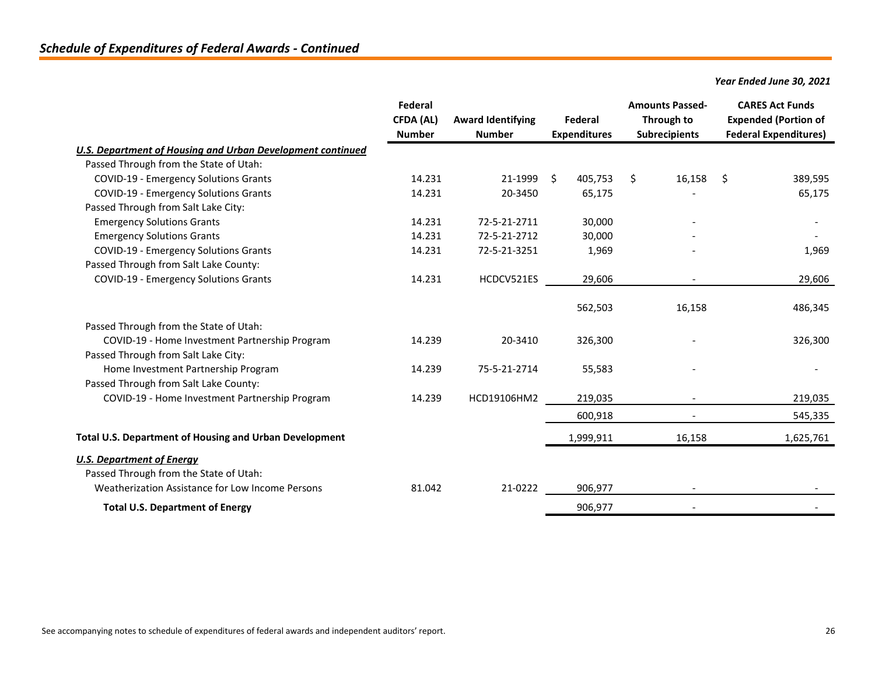|                                                                            | <b>Federal</b><br><b>CFDA (AL)</b><br><b>Number</b> | <b>Award Identifying</b><br><b>Number</b> |    | Federal<br><b>Expenditures</b> |    | <b>Amounts Passed-</b><br>Through to<br><b>Subrecipients</b> | <b>CARES Act Funds</b><br><b>Expended (Portion of</b><br><b>Federal Expenditures)</b> |           |
|----------------------------------------------------------------------------|-----------------------------------------------------|-------------------------------------------|----|--------------------------------|----|--------------------------------------------------------------|---------------------------------------------------------------------------------------|-----------|
| U.S. Department of Housing and Urban Development continued                 |                                                     |                                           |    |                                |    |                                                              |                                                                                       |           |
| Passed Through from the State of Utah:                                     |                                                     |                                           |    |                                |    |                                                              |                                                                                       |           |
| COVID-19 - Emergency Solutions Grants                                      | 14.231                                              | 21-1999                                   | Ŝ. | 405,753                        | Ś. | 16,158                                                       | $\ddot{\mathsf{s}}$                                                                   | 389,595   |
| COVID-19 - Emergency Solutions Grants                                      | 14.231                                              | 20-3450                                   |    | 65,175                         |    |                                                              |                                                                                       | 65,175    |
| Passed Through from Salt Lake City:                                        |                                                     |                                           |    |                                |    |                                                              |                                                                                       |           |
| <b>Emergency Solutions Grants</b>                                          | 14.231                                              | 72-5-21-2711                              |    | 30,000                         |    |                                                              |                                                                                       |           |
| <b>Emergency Solutions Grants</b>                                          | 14.231                                              | 72-5-21-2712                              |    | 30,000                         |    |                                                              |                                                                                       |           |
| COVID-19 - Emergency Solutions Grants                                      | 14.231                                              | 72-5-21-3251                              |    | 1,969                          |    |                                                              |                                                                                       | 1,969     |
| Passed Through from Salt Lake County:                                      |                                                     |                                           |    |                                |    |                                                              |                                                                                       |           |
| COVID-19 - Emergency Solutions Grants                                      | 14.231                                              | HCDCV521ES                                |    | 29,606                         |    |                                                              |                                                                                       | 29,606    |
|                                                                            |                                                     |                                           |    | 562,503                        |    | 16,158                                                       |                                                                                       | 486,345   |
| Passed Through from the State of Utah:                                     |                                                     |                                           |    |                                |    |                                                              |                                                                                       |           |
| COVID-19 - Home Investment Partnership Program                             | 14.239                                              | 20-3410                                   |    | 326,300                        |    |                                                              |                                                                                       | 326,300   |
| Passed Through from Salt Lake City:                                        |                                                     |                                           |    |                                |    |                                                              |                                                                                       |           |
| Home Investment Partnership Program                                        | 14.239                                              | 75-5-21-2714                              |    | 55,583                         |    |                                                              |                                                                                       |           |
| Passed Through from Salt Lake County:                                      |                                                     |                                           |    |                                |    |                                                              |                                                                                       |           |
| COVID-19 - Home Investment Partnership Program                             | 14.239                                              | HCD19106HM2                               |    | 219,035                        |    |                                                              |                                                                                       | 219,035   |
|                                                                            |                                                     |                                           |    | 600,918                        |    |                                                              |                                                                                       | 545,335   |
| <b>Total U.S. Department of Housing and Urban Development</b>              |                                                     |                                           |    | 1,999,911                      |    | 16,158                                                       |                                                                                       | 1,625,761 |
| <b>U.S. Department of Energy</b><br>Passed Through from the State of Utah: |                                                     |                                           |    |                                |    |                                                              |                                                                                       |           |
| Weatherization Assistance for Low Income Persons                           | 81.042                                              | 21-0222                                   |    | 906,977                        |    |                                                              |                                                                                       |           |
| <b>Total U.S. Department of Energy</b>                                     |                                                     |                                           |    | 906,977                        |    |                                                              |                                                                                       |           |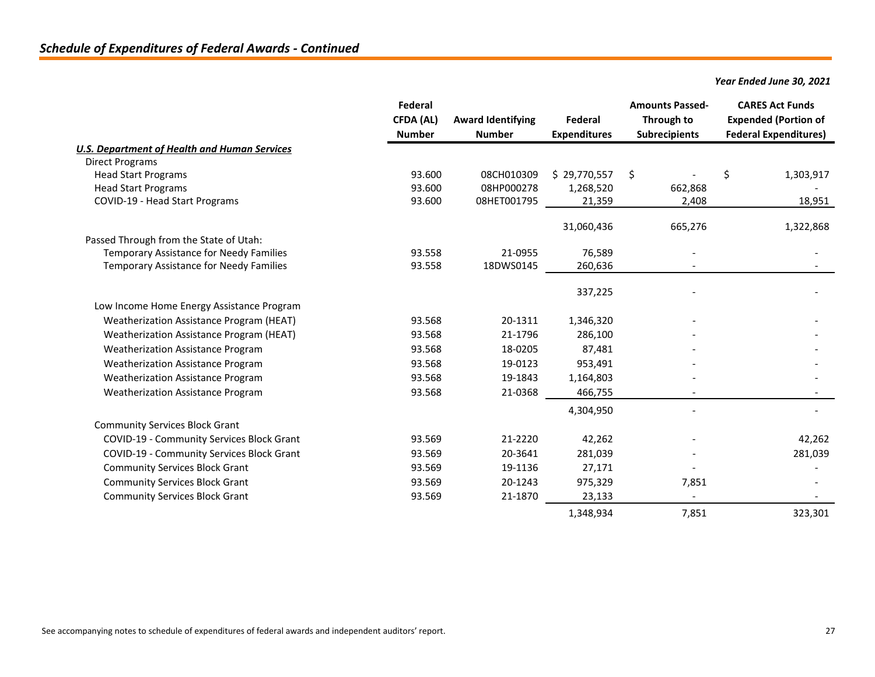|                                                     | Federal<br>CFDA (AL)<br><b>Number</b> | <b>Award Identifying</b><br><b>Number</b> | <b>Federal</b><br><b>Expenditures</b> | <b>Amounts Passed-</b><br>Through to<br><b>Subrecipients</b> | <b>CARES Act Funds</b><br><b>Expended (Portion of</b><br><b>Federal Expenditures)</b> |
|-----------------------------------------------------|---------------------------------------|-------------------------------------------|---------------------------------------|--------------------------------------------------------------|---------------------------------------------------------------------------------------|
| <b>U.S. Department of Health and Human Services</b> |                                       |                                           |                                       |                                                              |                                                                                       |
| <b>Direct Programs</b>                              |                                       |                                           |                                       |                                                              |                                                                                       |
| <b>Head Start Programs</b>                          | 93.600                                | 08CH010309                                | \$29,770,557                          | Ŝ.                                                           | \$<br>1,303,917                                                                       |
| <b>Head Start Programs</b>                          | 93.600                                | 08HP000278                                | 1,268,520                             | 662,868                                                      |                                                                                       |
| COVID-19 - Head Start Programs                      | 93.600                                | 08HET001795                               | 21,359                                | 2,408                                                        | 18,951                                                                                |
|                                                     |                                       |                                           | 31,060,436                            | 665,276                                                      | 1,322,868                                                                             |
| Passed Through from the State of Utah:              |                                       |                                           |                                       |                                                              |                                                                                       |
| <b>Temporary Assistance for Needy Families</b>      | 93.558                                | 21-0955<br>18DWS0145                      | 76,589                                |                                                              |                                                                                       |
| Temporary Assistance for Needy Families             | 93.558                                |                                           | 260,636                               |                                                              |                                                                                       |
|                                                     |                                       |                                           | 337,225                               |                                                              |                                                                                       |
| Low Income Home Energy Assistance Program           |                                       |                                           |                                       |                                                              |                                                                                       |
| Weatherization Assistance Program (HEAT)            | 93.568                                | 20-1311                                   | 1,346,320                             |                                                              |                                                                                       |
| Weatherization Assistance Program (HEAT)            | 93.568                                | 21-1796                                   | 286,100                               |                                                              |                                                                                       |
| <b>Weatherization Assistance Program</b>            | 93.568                                | 18-0205                                   | 87,481                                |                                                              |                                                                                       |
| <b>Weatherization Assistance Program</b>            | 93.568                                | 19-0123                                   | 953,491                               |                                                              |                                                                                       |
| Weatherization Assistance Program                   | 93.568                                | 19-1843                                   | 1,164,803                             |                                                              |                                                                                       |
| <b>Weatherization Assistance Program</b>            | 93.568                                | 21-0368                                   | 466,755                               |                                                              |                                                                                       |
|                                                     |                                       |                                           | 4,304,950                             |                                                              |                                                                                       |
| <b>Community Services Block Grant</b>               |                                       |                                           |                                       |                                                              |                                                                                       |
| COVID-19 - Community Services Block Grant           | 93.569                                | 21-2220                                   | 42,262                                |                                                              | 42,262                                                                                |
| COVID-19 - Community Services Block Grant           | 93.569                                | 20-3641                                   | 281,039                               |                                                              | 281,039                                                                               |
| <b>Community Services Block Grant</b>               | 93.569                                | 19-1136                                   | 27,171                                |                                                              |                                                                                       |
| <b>Community Services Block Grant</b>               | 93.569                                | 20-1243                                   | 975,329                               | 7,851                                                        |                                                                                       |
| <b>Community Services Block Grant</b>               | 93.569                                | 21-1870                                   | 23,133                                |                                                              |                                                                                       |
|                                                     |                                       |                                           | 1,348,934                             | 7,851                                                        | 323,301                                                                               |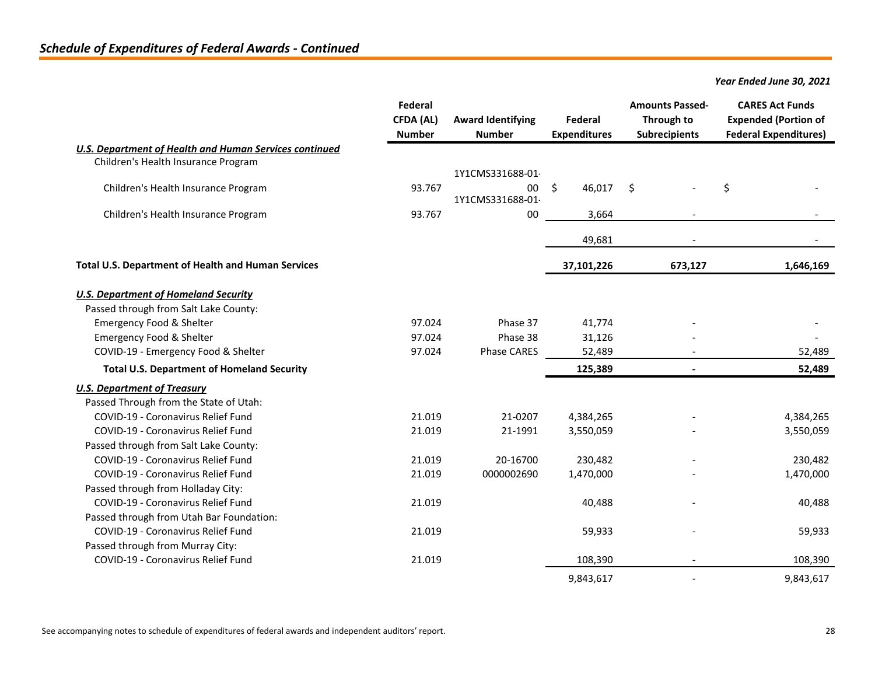|                                                        | Federal<br>CFDA (AL)<br><b>Number</b> | <b>Award Identifying</b><br><b>Number</b> | Federal<br><b>Expenditures</b> | <b>Amounts Passed-</b><br>Through to<br><b>Subrecipients</b> | <b>CARES Act Funds</b><br><b>Expended (Portion of</b><br><b>Federal Expenditures)</b> |
|--------------------------------------------------------|---------------------------------------|-------------------------------------------|--------------------------------|--------------------------------------------------------------|---------------------------------------------------------------------------------------|
| U.S. Department of Health and Human Services continued |                                       |                                           |                                |                                                              |                                                                                       |
| Children's Health Insurance Program                    |                                       |                                           |                                |                                                              |                                                                                       |
| Children's Health Insurance Program                    | 93.767                                | 1Y1CMS331688-01-<br>00                    | $\zeta$<br>46,017              | \$                                                           | \$                                                                                    |
|                                                        |                                       | 1Y1CMS331688-01-                          |                                |                                                              |                                                                                       |
| Children's Health Insurance Program                    | 93.767                                | 00                                        | 3,664                          |                                                              |                                                                                       |
|                                                        |                                       |                                           | 49,681                         |                                                              |                                                                                       |
| Total U.S. Department of Health and Human Services     |                                       |                                           | 37,101,226                     | 673,127                                                      | 1,646,169                                                                             |
| <b>U.S. Department of Homeland Security</b>            |                                       |                                           |                                |                                                              |                                                                                       |
| Passed through from Salt Lake County:                  |                                       |                                           |                                |                                                              |                                                                                       |
| Emergency Food & Shelter                               | 97.024                                | Phase 37                                  | 41,774                         |                                                              |                                                                                       |
| Emergency Food & Shelter                               | 97.024                                | Phase 38                                  | 31,126                         |                                                              |                                                                                       |
| COVID-19 - Emergency Food & Shelter                    | 97.024                                | <b>Phase CARES</b>                        | 52,489                         |                                                              | 52,489                                                                                |
| <b>Total U.S. Department of Homeland Security</b>      |                                       |                                           | 125,389                        |                                                              | 52,489                                                                                |
| <b>U.S. Department of Treasury</b>                     |                                       |                                           |                                |                                                              |                                                                                       |
| Passed Through from the State of Utah:                 |                                       |                                           |                                |                                                              |                                                                                       |
| COVID-19 - Coronavirus Relief Fund                     | 21.019                                | 21-0207                                   | 4,384,265                      |                                                              | 4,384,265                                                                             |
| COVID-19 - Coronavirus Relief Fund                     | 21.019                                | 21-1991                                   | 3,550,059                      |                                                              | 3,550,059                                                                             |
| Passed through from Salt Lake County:                  |                                       |                                           |                                |                                                              |                                                                                       |
| COVID-19 - Coronavirus Relief Fund                     | 21.019                                | 20-16700                                  | 230,482                        |                                                              | 230,482                                                                               |
| COVID-19 - Coronavirus Relief Fund                     | 21.019                                | 0000002690                                | 1,470,000                      |                                                              | 1,470,000                                                                             |
| Passed through from Holladay City:                     |                                       |                                           |                                |                                                              |                                                                                       |
| COVID-19 - Coronavirus Relief Fund                     | 21.019                                |                                           | 40,488                         |                                                              | 40,488                                                                                |
| Passed through from Utah Bar Foundation:               |                                       |                                           |                                |                                                              |                                                                                       |
| COVID-19 - Coronavirus Relief Fund                     | 21.019                                |                                           | 59,933                         |                                                              | 59,933                                                                                |
| Passed through from Murray City:                       |                                       |                                           |                                |                                                              |                                                                                       |
| COVID-19 - Coronavirus Relief Fund                     | 21.019                                |                                           | 108,390                        |                                                              | 108,390                                                                               |
|                                                        |                                       |                                           | 9,843,617                      |                                                              | 9,843,617                                                                             |

See accompanying notes to schedule of expenditures of federal awards and independent auditors' report. 28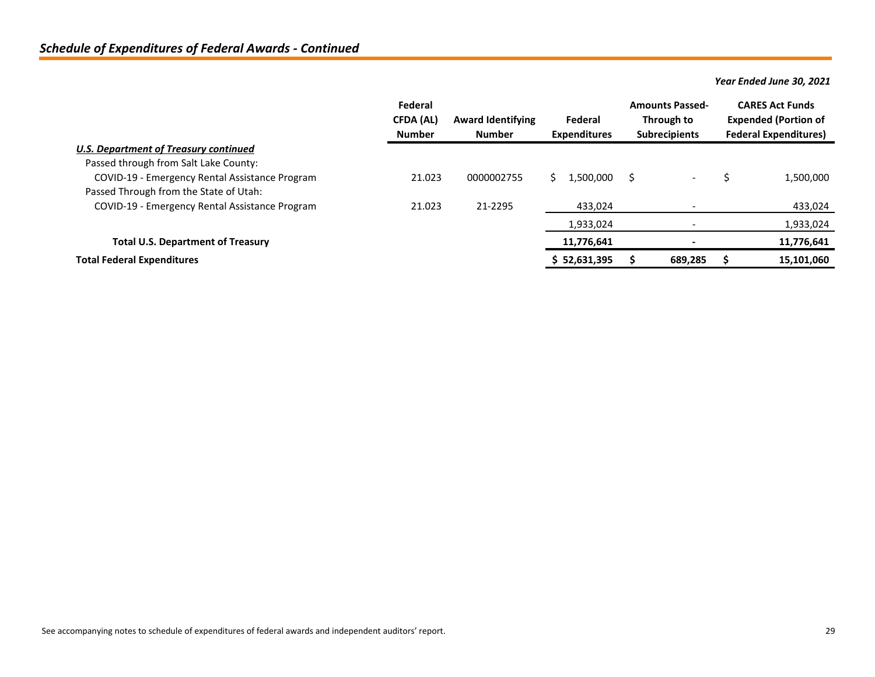|                                                | Federal<br><b>CFDA (AL)</b><br><b>Number</b> | <b>Award Identifying</b><br><b>Number</b> | Federal<br><b>Expenditures</b> | <b>Amounts Passed-</b><br>Through to<br><b>Subrecipients</b> | <b>CARES Act Funds</b><br><b>Expended (Portion of</b><br><b>Federal Expenditures)</b> |
|------------------------------------------------|----------------------------------------------|-------------------------------------------|--------------------------------|--------------------------------------------------------------|---------------------------------------------------------------------------------------|
| U.S. Department of Treasury continued          |                                              |                                           |                                |                                                              |                                                                                       |
| Passed through from Salt Lake County:          |                                              |                                           |                                |                                                              |                                                                                       |
| COVID-19 - Emergency Rental Assistance Program | 21.023                                       | 0000002755                                | 1,500,000                      |                                                              | 1,500,000                                                                             |
| Passed Through from the State of Utah:         |                                              |                                           |                                |                                                              |                                                                                       |
| COVID-19 - Emergency Rental Assistance Program | 21.023                                       | 21-2295                                   | 433,024                        |                                                              | 433,024                                                                               |
|                                                |                                              |                                           | 1,933,024                      |                                                              | 1,933,024                                                                             |
| <b>Total U.S. Department of Treasury</b>       |                                              |                                           | 11,776,641                     |                                                              | 11,776,641                                                                            |
| <b>Total Federal Expenditures</b>              |                                              |                                           | \$52,631,395                   | 689.285                                                      | 15,101,060                                                                            |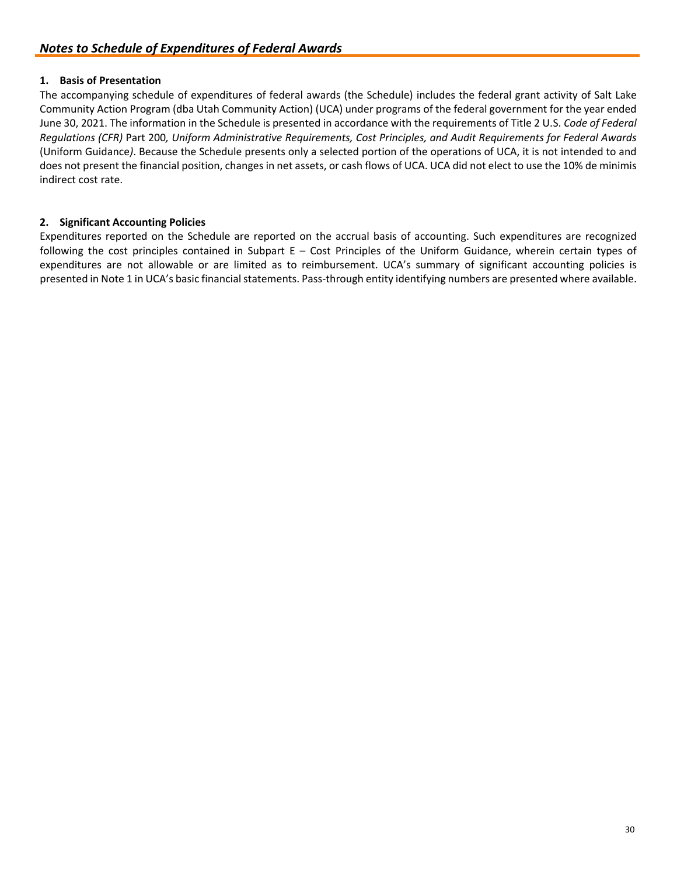## **1. Basis of Presentation**

The accompanying schedule of expenditures of federal awards (the Schedule) includes the federal grant activity of Salt Lake Community Action Program (dba Utah Community Action) (UCA) under programs of the federal government for the year ended June 30, 2021. The information in the Schedule is presented in accordance with the requirements of Title 2 U.S. *Code of Federal Regulations (CFR)* Part 200*, Uniform Administrative Requirements, Cost Principles, and Audit Requirements for Federal Awards* (Uniform Guidance*)*. Because the Schedule presents only a selected portion of the operations of UCA, it is not intended to and does not present the financial position, changes in net assets, or cash flows of UCA. UCA did not elect to use the 10% de minimis indirect cost rate.

## **2. Significant Accounting Policies**

Expenditures reported on the Schedule are reported on the accrual basis of accounting. Such expenditures are recognized following the cost principles contained in Subpart E – Cost Principles of the Uniform Guidance, wherein certain types of expenditures are not allowable or are limited as to reimbursement. UCA's summary of significant accounting policies is presented in Note 1 in UCA's basic financial statements. Pass-through entity identifying numbers are presented where available.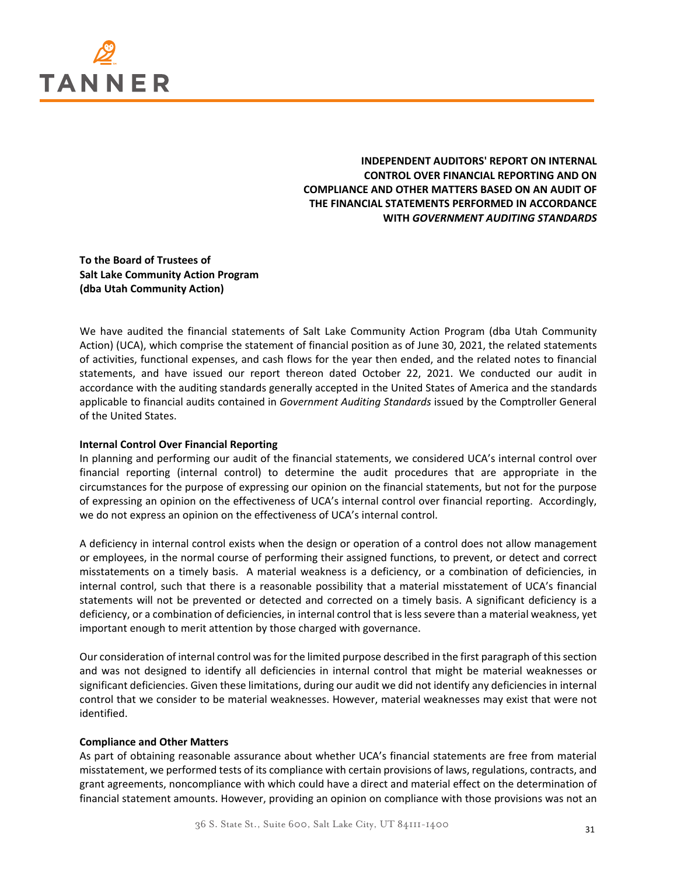

**INDEPENDENT AUDITORS' REPORT ON INTERNAL CONTROL OVER FINANCIAL REPORTING AND ON COMPLIANCE AND OTHER MATTERS BASED ON AN AUDIT OF THE FINANCIAL STATEMENTS PERFORMED IN ACCORDANCE WITH** *GOVERNMENT AUDITING STANDARDS*

**To the Board of Trustees of Salt Lake Community Action Program (dba Utah Community Action)**

We have audited the financial statements of Salt Lake Community Action Program (dba Utah Community Action) (UCA), which comprise the statement of financial position as of June 30, 2021, the related statements of activities, functional expenses, and cash flows for the year then ended, and the related notes to financial statements, and have issued our report thereon dated October 22, 2021. We conducted our audit in accordance with the auditing standards generally accepted in the United States of America and the standards applicable to financial audits contained in *Government Auditing Standards* issued by the Comptroller General of the United States.

## **Internal Control Over Financial Reporting**

In planning and performing our audit of the financial statements, we considered UCA's internal control over financial reporting (internal control) to determine the audit procedures that are appropriate in the circumstances for the purpose of expressing our opinion on the financial statements, but not for the purpose of expressing an opinion on the effectiveness of UCA's internal control over financial reporting. Accordingly, we do not express an opinion on the effectiveness of UCA's internal control.

A deficiency in internal control exists when the design or operation of a control does not allow management or employees, in the normal course of performing their assigned functions, to prevent, or detect and correct misstatements on a timely basis. A material weakness is a deficiency, or a combination of deficiencies, in internal control, such that there is a reasonable possibility that a material misstatement of UCA's financial statements will not be prevented or detected and corrected on a timely basis. A significant deficiency is a deficiency, or a combination of deficiencies, in internal control that isless severe than a material weakness, yet important enough to merit attention by those charged with governance.

Our consideration of internal control wasfor the limited purpose described in the first paragraph of thissection and was not designed to identify all deficiencies in internal control that might be material weaknesses or significant deficiencies. Given these limitations, during our audit we did not identify any deficiencies in internal control that we consider to be material weaknesses. However, material weaknesses may exist that were not identified.

#### **Compliance and Other Matters**

As part of obtaining reasonable assurance about whether UCA's financial statements are free from material misstatement, we performed tests of its compliance with certain provisions of laws, regulations, contracts, and grant agreements, noncompliance with which could have a direct and material effect on the determination of financial statement amounts. However, providing an opinion on compliance with those provisions was not an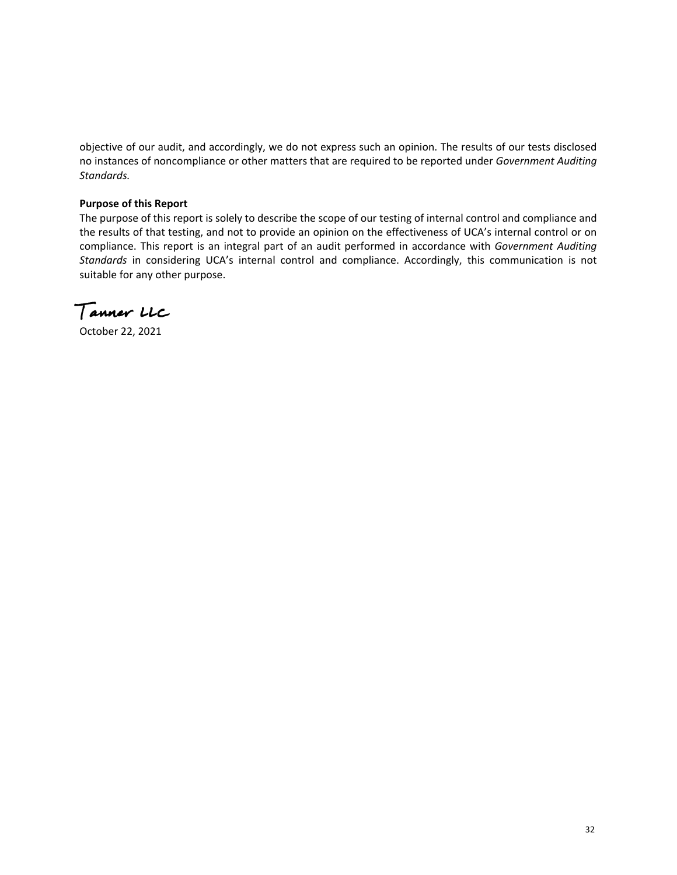objective of our audit, and accordingly, we do not express such an opinion. The results of our tests disclosed no instances of noncompliance or other matters that are required to be reported under *Government Auditing Standards.*

## **Purpose of this Report**

The purpose of this report is solely to describe the scope of our testing of internal control and compliance and the results of that testing, and not to provide an opinion on the effectiveness of UCA's internal control or on compliance. This report is an integral part of an audit performed in accordance with *Government Auditing Standards* in considering UCA's internal control and compliance. Accordingly, this communication is not suitable for any other purpose.

Tanner LLC

October 22, 2021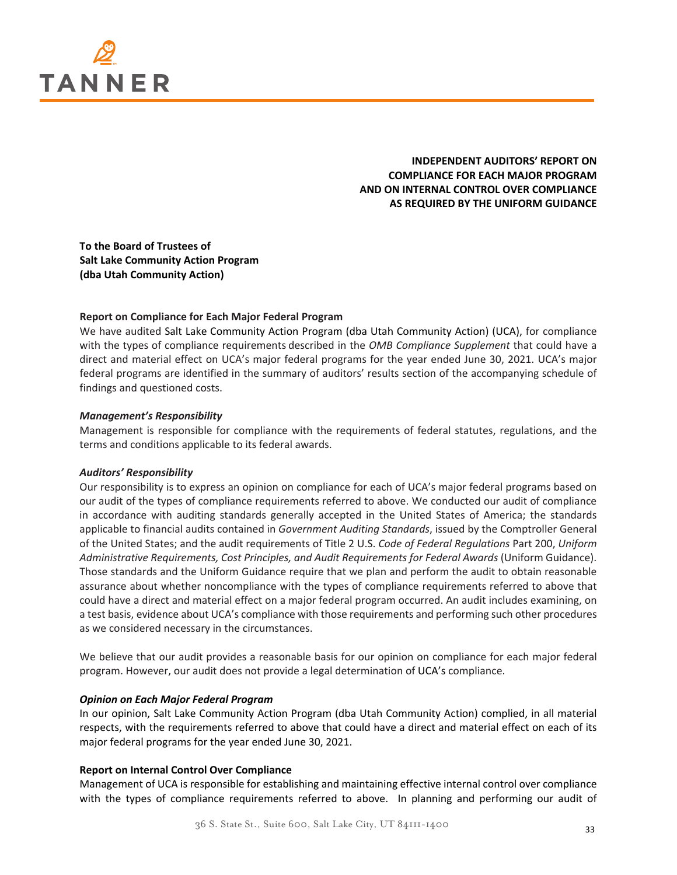

**INDEPENDENT AUDITORS' REPORT ON COMPLIANCE FOR EACH MAJOR PROGRAM AND ON INTERNAL CONTROL OVER COMPLIANCE AS REQUIRED BY THE UNIFORM GUIDANCE**

**To the Board of Trustees of Salt Lake Community Action Program (dba Utah Community Action)**

#### **Report on Compliance for Each Major Federal Program**

We have audited Salt Lake Community Action Program (dba Utah Community Action) (UCA), for compliance with the types of compliance requirements described in the *OMB Compliance Supplement* that could have a direct and material effect on UCA's major federal programs for the year ended June 30, 2021. UCA's major federal programs are identified in the summary of auditors' results section of the accompanying schedule of findings and questioned costs.

#### *Management's Responsibility*

Management is responsible for compliance with the requirements of federal statutes, regulations, and the terms and conditions applicable to its federal awards.

#### *Auditors' Responsibility*

Our responsibility is to express an opinion on compliance for each of UCA's major federal programs based on our audit of the types of compliance requirements referred to above. We conducted our audit of compliance in accordance with auditing standards generally accepted in the United States of America; the standards applicable to financial audits contained in *Government Auditing Standards*, issued by the Comptroller General of the United States; and the audit requirements of Title 2 U.S. *Code of Federal Regulations* Part 200, *Uniform Administrative Requirements, Cost Principles, and Audit Requirements for Federal Awards* (Uniform Guidance). Those standards and the Uniform Guidance require that we plan and perform the audit to obtain reasonable assurance about whether noncompliance with the types of compliance requirements referred to above that could have a direct and material effect on a major federal program occurred. An audit includes examining, on a test basis, evidence about UCA's compliance with those requirements and performing such other procedures as we considered necessary in the circumstances.

We believe that our audit provides a reasonable basis for our opinion on compliance for each major federal program. However, our audit does not provide a legal determination of UCA's compliance.

#### *Opinion on Each Major Federal Program*

In our opinion, Salt Lake Community Action Program (dba Utah Community Action) complied, in all material respects, with the requirements referred to above that could have a direct and material effect on each of its major federal programs for the year ended June 30, 2021.

#### **Report on Internal Control Over Compliance**

Management of UCA is responsible for establishing and maintaining effective internal control over compliance with the types of compliance requirements referred to above. In planning and performing our audit of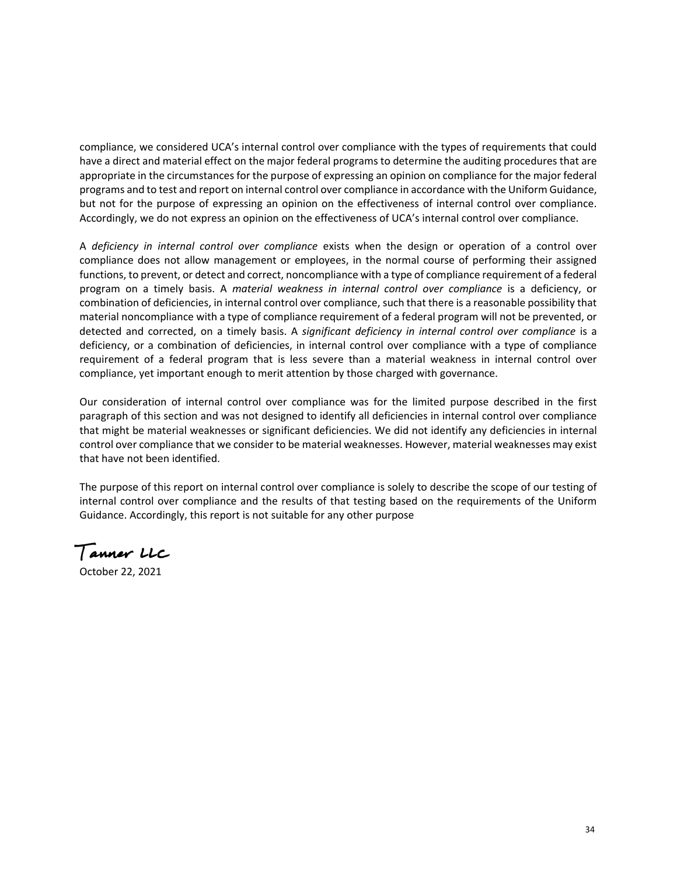compliance, we considered UCA's internal control over compliance with the types of requirements that could have a direct and material effect on the major federal programs to determine the auditing procedures that are appropriate in the circumstances for the purpose of expressing an opinion on compliance for the major federal programs and to test and report on internal control over compliance in accordance with the Uniform Guidance, but not for the purpose of expressing an opinion on the effectiveness of internal control over compliance. Accordingly, we do not express an opinion on the effectiveness of UCA's internal control over compliance.

A *deficiency in internal control over compliance* exists when the design or operation of a control over compliance does not allow management or employees, in the normal course of performing their assigned functions, to prevent, or detect and correct, noncompliance with a type of compliance requirement of a federal program on a timely basis. A *material weakness in internal control over compliance* is a deficiency, or combination of deficiencies, in internal control over compliance, such that there is a reasonable possibility that material noncompliance with a type of compliance requirement of a federal program will not be prevented, or detected and corrected, on a timely basis. A *significant deficiency in internal control over compliance* is a deficiency, or a combination of deficiencies, in internal control over compliance with a type of compliance requirement of a federal program that is less severe than a material weakness in internal control over compliance, yet important enough to merit attention by those charged with governance.

Our consideration of internal control over compliance was for the limited purpose described in the first paragraph of this section and was not designed to identify all deficiencies in internal control over compliance that might be material weaknesses or significant deficiencies. We did not identify any deficiencies in internal control over compliance that we consider to be material weaknesses. However, material weaknesses may exist that have not been identified.

The purpose of this report on internal control over compliance is solely to describe the scope of our testing of internal control over compliance and the results of that testing based on the requirements of the Uniform Guidance. Accordingly, this report is not suitable for any other purpose

Tanner LLC

October 22, 2021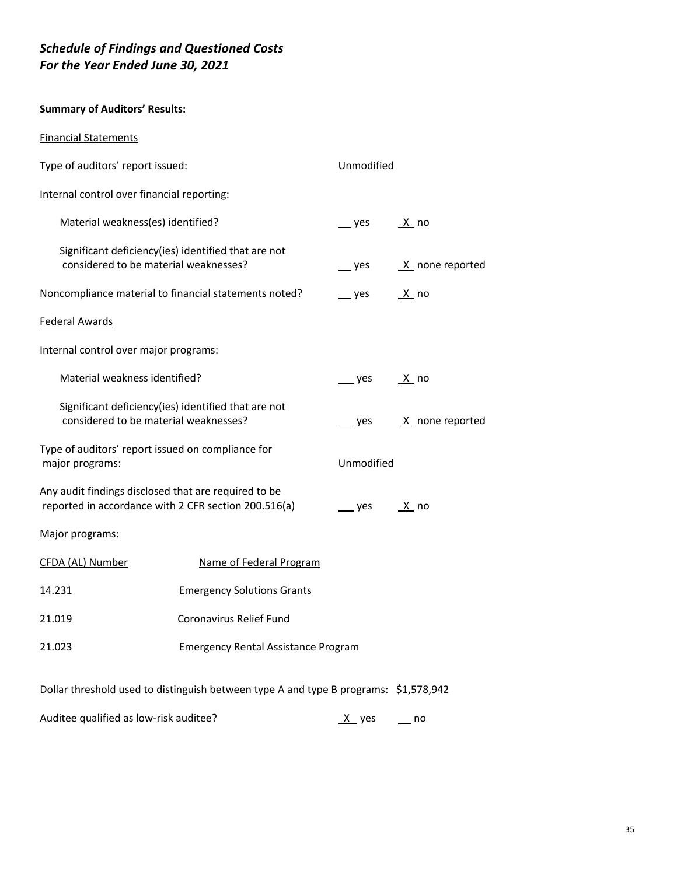# *Schedule of Findings and Questioned Costs For the Year Ended June 30, 2021*

## **Summary of Auditors' Results:**

## Financial Statements

| Type of auditors' report issued:                                                                             |                                   | Unmodified   |                   |  |
|--------------------------------------------------------------------------------------------------------------|-----------------------------------|--------------|-------------------|--|
| Internal control over financial reporting:                                                                   |                                   |              |                   |  |
| Material weakness(es) identified?                                                                            |                                   | yes_         | <u>X</u> _ no     |  |
| Significant deficiency(ies) identified that are not<br>considered to be material weaknesses?                 |                                   | yes_         | $X$ none reported |  |
| Noncompliance material to financial statements noted?                                                        |                                   | yes          | $X$ no            |  |
| <b>Federal Awards</b>                                                                                        |                                   |              |                   |  |
| Internal control over major programs:                                                                        |                                   |              |                   |  |
| Material weakness identified?                                                                                | yes                               | <u>X</u> no  |                   |  |
| Significant deficiency(ies) identified that are not<br>considered to be material weaknesses?                 |                                   | $\equiv$ yes | $X$ none reported |  |
| Type of auditors' report issued on compliance for<br>major programs:                                         |                                   | Unmodified   |                   |  |
| Any audit findings disclosed that are required to be<br>reported in accordance with 2 CFR section 200.516(a) |                                   | yes          | X no              |  |
| Major programs:                                                                                              |                                   |              |                   |  |
| CFDA (AL) Number                                                                                             | Name of Federal Program           |              |                   |  |
| 14.231                                                                                                       | <b>Emergency Solutions Grants</b> |              |                   |  |
| 21.019                                                                                                       | Coronavirus Relief Fund           |              |                   |  |
| 21.023<br><b>Emergency Rental Assistance Program</b>                                                         |                                   |              |                   |  |
| Dollar threshold used to distinguish between type A and type B programs: \$1,578,942                         |                                   |              |                   |  |

Auditee qualified as low-risk auditee?  $\frac{X}{Y}$  yes  $\frac{X}{Y}$  no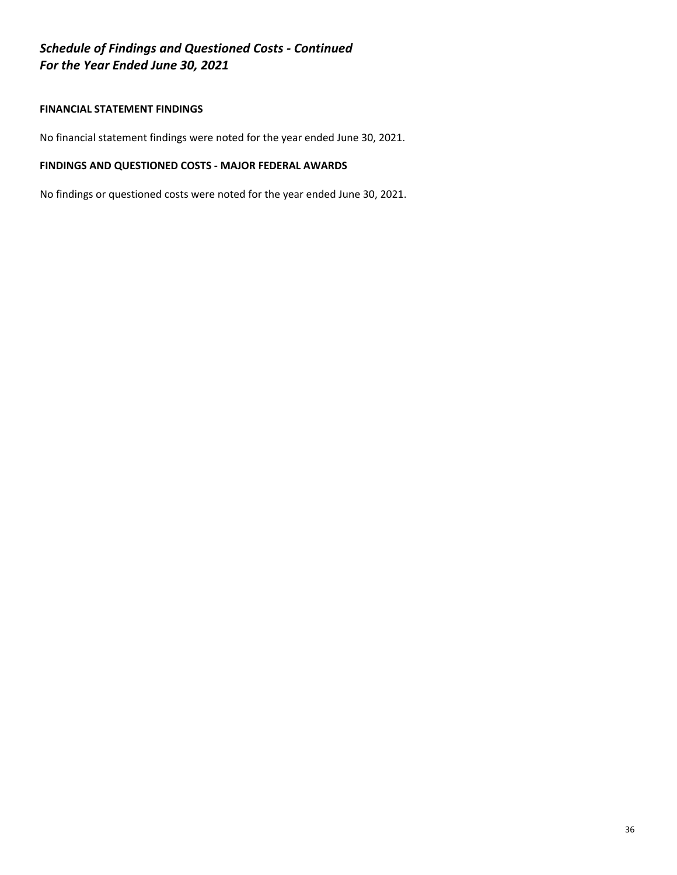# *Schedule of Findings and Questioned Costs ‐ Continued For the Year Ended June 30, 2021*

## **FINANCIAL STATEMENT FINDINGS**

No financial statement findings were noted for the year ended June 30, 2021.

## **FINDINGS AND QUESTIONED COSTS ‐ MAJOR FEDERAL AWARDS**

No findings or questioned costs were noted for the year ended June 30, 2021.